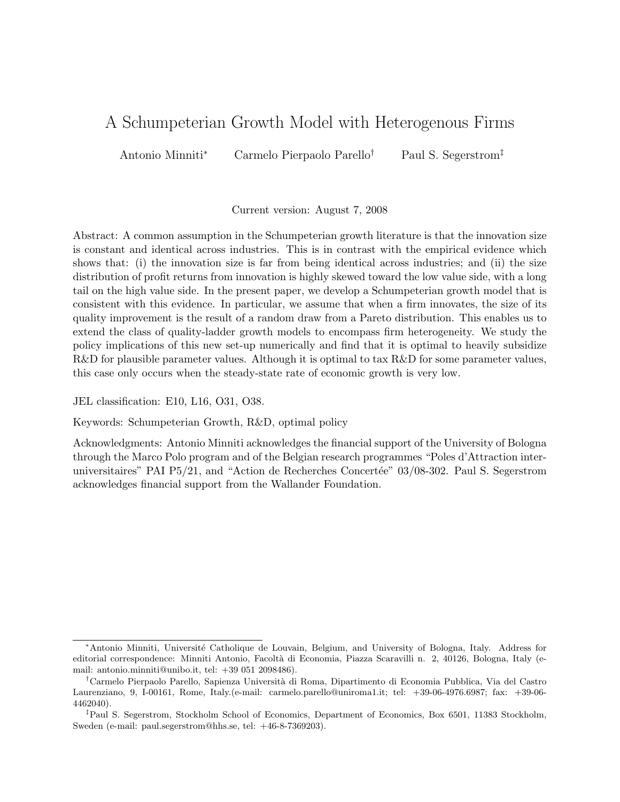# A Schumpeterian Growth Model with Heterogenous Firms

Antonio Minniti<sup>∗</sup> Carmelo Pierpaolo Parello† Paul S. Segerstrom‡

Current version: August 7, 2008

Abstract: A common assumption in the Schumpeterian growth literature is that the innovation size is constant and identical across industries. This is in contrast with the empirical evidence which shows that: (i) the innovation size is far from being identical across industries; and (ii) the size distribution of profit returns from innovation is highly skewed toward the low value side, with a long tail on the high value side. In the present paper, we develop a Schumpeterian growth model that is consistent with this evidence. In particular, we assume that when a firm innovates, the size of its quality improvement is the result of a random draw from a Pareto distribution. This enables us to extend the class of quality-ladder growth models to encompass firm heterogeneity. We study the policy implications of this new set-up numerically and find that it is optimal to heavily subsidize R&D for plausible parameter values. Although it is optimal to tax R&D for some parameter values, this case only occurs when the steady-state rate of economic growth is very low.

JEL classification: E10, L16, O31, O38.

Keywords: Schumpeterian Growth, R&D, optimal policy

Acknowledgments: Antonio Minniti acknowledges the financial support of the University of Bologna through the Marco Polo program and of the Belgian research programmes "Poles d'Attraction interuniversitaires" PAI P5/21, and "Action de Recherches Concertée" 03/08-302. Paul S. Segerstrom acknowledges financial support from the Wallander Foundation.

<sup>∗</sup>Antonio Minniti, Universit´e Catholique de Louvain, Belgium, and University of Bologna, Italy. Address for editorial correspondence: Minniti Antonio, Facoltà di Economia, Piazza Scaravilli n. 2, 40126, Bologna, Italy (email: antonio.minniti@unibo.it, tel: +39 051 2098486).

<sup>&</sup>lt;sup>†</sup>Carmelo Pierpaolo Parello, Sapienza Università di Roma, Dipartimento di Economia Pubblica, Via del Castro Laurenziano, 9, I-00161, Rome, Italy.(e-mail: carmelo.parello@uniroma1.it; tel: +39-06-4976.6987; fax: +39-06- 4462040).

<sup>‡</sup>Paul S. Segerstrom, Stockholm School of Economics, Department of Economics, Box 6501, 11383 Stockholm, Sweden (e-mail: paul.segerstrom@hhs.se, tel: +46-8-7369203).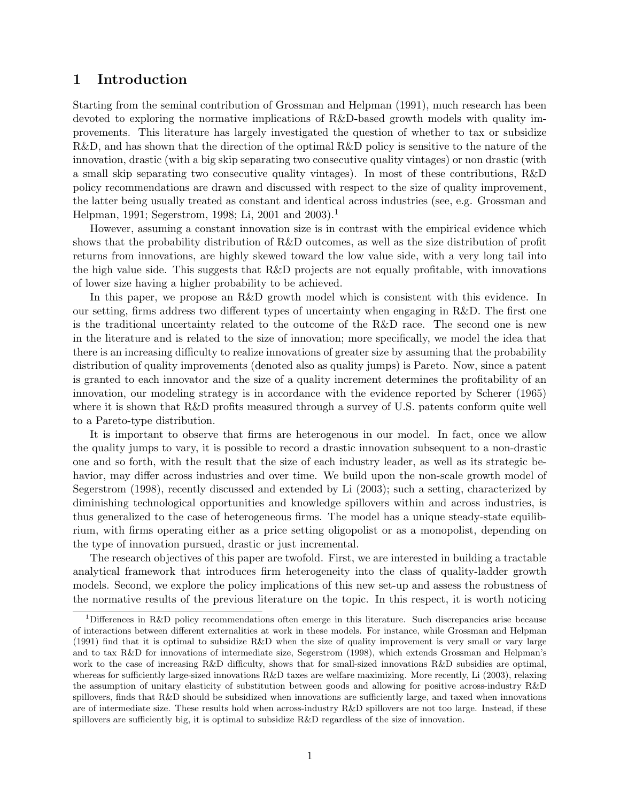# 1 Introduction

Starting from the seminal contribution of Grossman and Helpman (1991), much research has been devoted to exploring the normative implications of R&D-based growth models with quality improvements. This literature has largely investigated the question of whether to tax or subsidize R&D, and has shown that the direction of the optimal R&D policy is sensitive to the nature of the innovation, drastic (with a big skip separating two consecutive quality vintages) or non drastic (with a small skip separating two consecutive quality vintages). In most of these contributions, R&D policy recommendations are drawn and discussed with respect to the size of quality improvement, the latter being usually treated as constant and identical across industries (see, e.g. Grossman and Helpman, 1991; Segerstrom, 1998; Li, 2001 and 2003).<sup>1</sup>

However, assuming a constant innovation size is in contrast with the empirical evidence which shows that the probability distribution of R&D outcomes, as well as the size distribution of profit returns from innovations, are highly skewed toward the low value side, with a very long tail into the high value side. This suggests that R&D projects are not equally profitable, with innovations of lower size having a higher probability to be achieved.

In this paper, we propose an R&D growth model which is consistent with this evidence. In our setting, firms address two different types of uncertainty when engaging in R&D. The first one is the traditional uncertainty related to the outcome of the R&D race. The second one is new in the literature and is related to the size of innovation; more specifically, we model the idea that there is an increasing difficulty to realize innovations of greater size by assuming that the probability distribution of quality improvements (denoted also as quality jumps) is Pareto. Now, since a patent is granted to each innovator and the size of a quality increment determines the profitability of an innovation, our modeling strategy is in accordance with the evidence reported by Scherer (1965) where it is shown that R&D profits measured through a survey of U.S. patents conform quite well to a Pareto-type distribution.

It is important to observe that firms are heterogenous in our model. In fact, once we allow the quality jumps to vary, it is possible to record a drastic innovation subsequent to a non-drastic one and so forth, with the result that the size of each industry leader, as well as its strategic behavior, may differ across industries and over time. We build upon the non-scale growth model of Segerstrom (1998), recently discussed and extended by Li (2003); such a setting, characterized by diminishing technological opportunities and knowledge spillovers within and across industries, is thus generalized to the case of heterogeneous firms. The model has a unique steady-state equilibrium, with firms operating either as a price setting oligopolist or as a monopolist, depending on the type of innovation pursued, drastic or just incremental.

The research objectives of this paper are twofold. First, we are interested in building a tractable analytical framework that introduces firm heterogeneity into the class of quality-ladder growth models. Second, we explore the policy implications of this new set-up and assess the robustness of the normative results of the previous literature on the topic. In this respect, it is worth noticing

<sup>1</sup>Differences in R&D policy recommendations often emerge in this literature. Such discrepancies arise because of interactions between different externalities at work in these models. For instance, while Grossman and Helpman (1991) find that it is optimal to subsidize R&D when the size of quality improvement is very small or vary large and to tax R&D for innovations of intermediate size, Segerstrom (1998), which extends Grossman and Helpman's work to the case of increasing R&D difficulty, shows that for small-sized innovations R&D subsidies are optimal, whereas for sufficiently large-sized innovations R&D taxes are welfare maximizing. More recently, Li (2003), relaxing the assumption of unitary elasticity of substitution between goods and allowing for positive across-industry R&D spillovers, finds that R&D should be subsidized when innovations are sufficiently large, and taxed when innovations are of intermediate size. These results hold when across-industry R&D spillovers are not too large. Instead, if these spillovers are sufficiently big, it is optimal to subsidize R&D regardless of the size of innovation.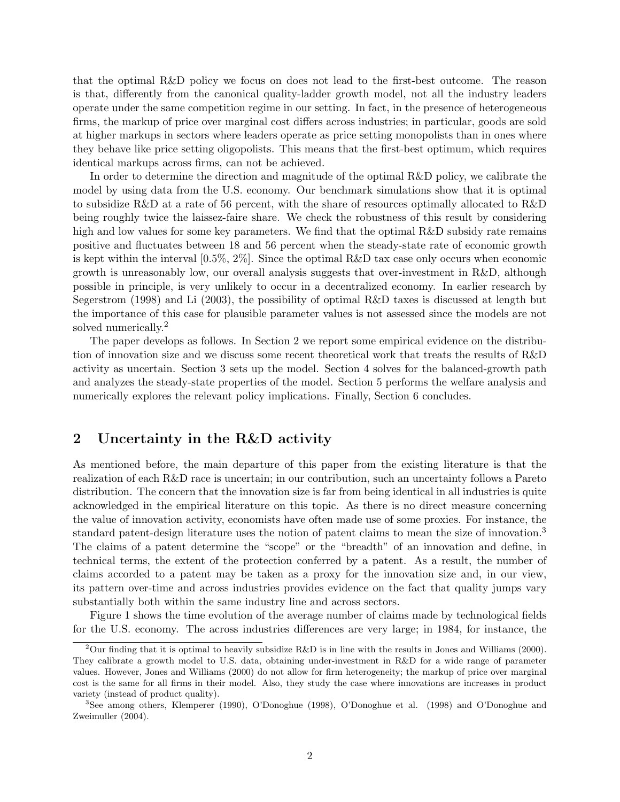that the optimal R&D policy we focus on does not lead to the first-best outcome. The reason is that, differently from the canonical quality-ladder growth model, not all the industry leaders operate under the same competition regime in our setting. In fact, in the presence of heterogeneous firms, the markup of price over marginal cost differs across industries; in particular, goods are sold at higher markups in sectors where leaders operate as price setting monopolists than in ones where they behave like price setting oligopolists. This means that the first-best optimum, which requires identical markups across firms, can not be achieved.

In order to determine the direction and magnitude of the optimal R&D policy, we calibrate the model by using data from the U.S. economy. Our benchmark simulations show that it is optimal to subsidize R&D at a rate of 56 percent, with the share of resources optimally allocated to R&D being roughly twice the laissez-faire share. We check the robustness of this result by considering high and low values for some key parameters. We find that the optimal R&D subsidy rate remains positive and fluctuates between 18 and 56 percent when the steady-state rate of economic growth is kept within the interval  $[0.5\%, 2\%]$ . Since the optimal R&D tax case only occurs when economic growth is unreasonably low, our overall analysis suggests that over-investment in R&D, although possible in principle, is very unlikely to occur in a decentralized economy. In earlier research by Segerstrom (1998) and Li (2003), the possibility of optimal R&D taxes is discussed at length but the importance of this case for plausible parameter values is not assessed since the models are not solved numerically.<sup>2</sup>

The paper develops as follows. In Section 2 we report some empirical evidence on the distribution of innovation size and we discuss some recent theoretical work that treats the results of R&D activity as uncertain. Section 3 sets up the model. Section 4 solves for the balanced-growth path and analyzes the steady-state properties of the model. Section 5 performs the welfare analysis and numerically explores the relevant policy implications. Finally, Section 6 concludes.

## 2 Uncertainty in the R&D activity

As mentioned before, the main departure of this paper from the existing literature is that the realization of each R&D race is uncertain; in our contribution, such an uncertainty follows a Pareto distribution. The concern that the innovation size is far from being identical in all industries is quite acknowledged in the empirical literature on this topic. As there is no direct measure concerning the value of innovation activity, economists have often made use of some proxies. For instance, the standard patent-design literature uses the notion of patent claims to mean the size of innovation.<sup>3</sup> The claims of a patent determine the "scope" or the "breadth" of an innovation and define, in technical terms, the extent of the protection conferred by a patent. As a result, the number of claims accorded to a patent may be taken as a proxy for the innovation size and, in our view, its pattern over-time and across industries provides evidence on the fact that quality jumps vary substantially both within the same industry line and across sectors.

Figure 1 shows the time evolution of the average number of claims made by technological fields for the U.S. economy. The across industries differences are very large; in 1984, for instance, the

<sup>&</sup>lt;sup>2</sup>Our finding that it is optimal to heavily subsidize  $R\&D$  is in line with the results in Jones and Williams (2000). They calibrate a growth model to U.S. data, obtaining under-investment in R&D for a wide range of parameter values. However, Jones and Williams (2000) do not allow for firm heterogeneity; the markup of price over marginal cost is the same for all firms in their model. Also, they study the case where innovations are increases in product variety (instead of product quality).

<sup>3</sup>See among others, Klemperer (1990), O'Donoghue (1998), O'Donoghue et al. (1998) and O'Donoghue and Zweimuller (2004).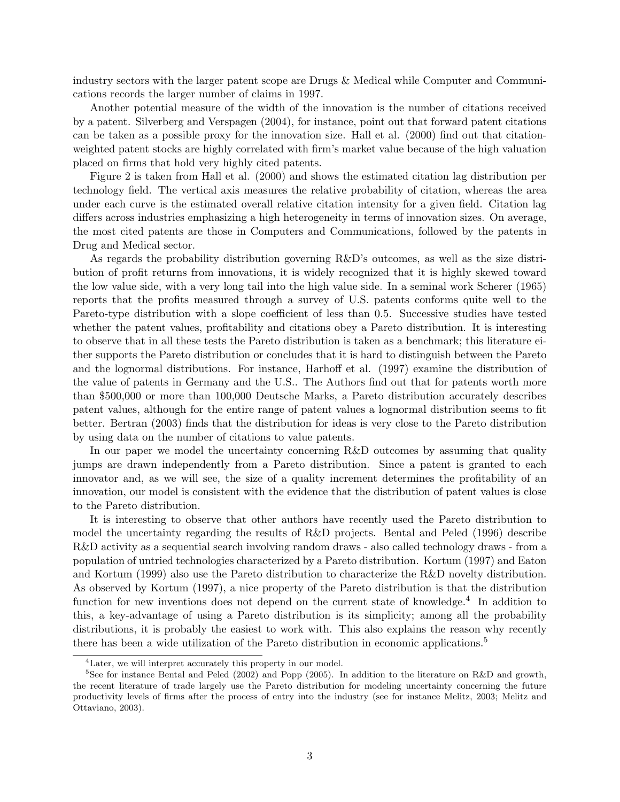industry sectors with the larger patent scope are Drugs & Medical while Computer and Communications records the larger number of claims in 1997.

Another potential measure of the width of the innovation is the number of citations received by a patent. Silverberg and Verspagen (2004), for instance, point out that forward patent citations can be taken as a possible proxy for the innovation size. Hall et al. (2000) find out that citationweighted patent stocks are highly correlated with firm's market value because of the high valuation placed on firms that hold very highly cited patents.

Figure 2 is taken from Hall et al. (2000) and shows the estimated citation lag distribution per technology field. The vertical axis measures the relative probability of citation, whereas the area under each curve is the estimated overall relative citation intensity for a given field. Citation lag differs across industries emphasizing a high heterogeneity in terms of innovation sizes. On average, the most cited patents are those in Computers and Communications, followed by the patents in Drug and Medical sector.

As regards the probability distribution governing R&D's outcomes, as well as the size distribution of profit returns from innovations, it is widely recognized that it is highly skewed toward the low value side, with a very long tail into the high value side. In a seminal work Scherer (1965) reports that the profits measured through a survey of U.S. patents conforms quite well to the Pareto-type distribution with a slope coefficient of less than 0.5. Successive studies have tested whether the patent values, profitability and citations obey a Pareto distribution. It is interesting to observe that in all these tests the Pareto distribution is taken as a benchmark; this literature either supports the Pareto distribution or concludes that it is hard to distinguish between the Pareto and the lognormal distributions. For instance, Harhoff et al. (1997) examine the distribution of the value of patents in Germany and the U.S.. The Authors find out that for patents worth more than \$500,000 or more than 100,000 Deutsche Marks, a Pareto distribution accurately describes patent values, although for the entire range of patent values a lognormal distribution seems to fit better. Bertran (2003) finds that the distribution for ideas is very close to the Pareto distribution by using data on the number of citations to value patents.

In our paper we model the uncertainty concerning R&D outcomes by assuming that quality jumps are drawn independently from a Pareto distribution. Since a patent is granted to each innovator and, as we will see, the size of a quality increment determines the profitability of an innovation, our model is consistent with the evidence that the distribution of patent values is close to the Pareto distribution.

It is interesting to observe that other authors have recently used the Pareto distribution to model the uncertainty regarding the results of R&D projects. Bental and Peled (1996) describe R&D activity as a sequential search involving random draws - also called technology draws - from a population of untried technologies characterized by a Pareto distribution. Kortum (1997) and Eaton and Kortum (1999) also use the Pareto distribution to characterize the R&D novelty distribution. As observed by Kortum (1997), a nice property of the Pareto distribution is that the distribution function for new inventions does not depend on the current state of knowledge.<sup>4</sup> In addition to this, a key-advantage of using a Pareto distribution is its simplicity; among all the probability distributions, it is probably the easiest to work with. This also explains the reason why recently there has been a wide utilization of the Pareto distribution in economic applications.<sup>5</sup>

<sup>&</sup>lt;sup>4</sup>Later, we will interpret accurately this property in our model.

<sup>&</sup>lt;sup>5</sup>See for instance Bental and Peled (2002) and Popp (2005). In addition to the literature on R&D and growth, the recent literature of trade largely use the Pareto distribution for modeling uncertainty concerning the future productivity levels of firms after the process of entry into the industry (see for instance Melitz, 2003; Melitz and Ottaviano, 2003).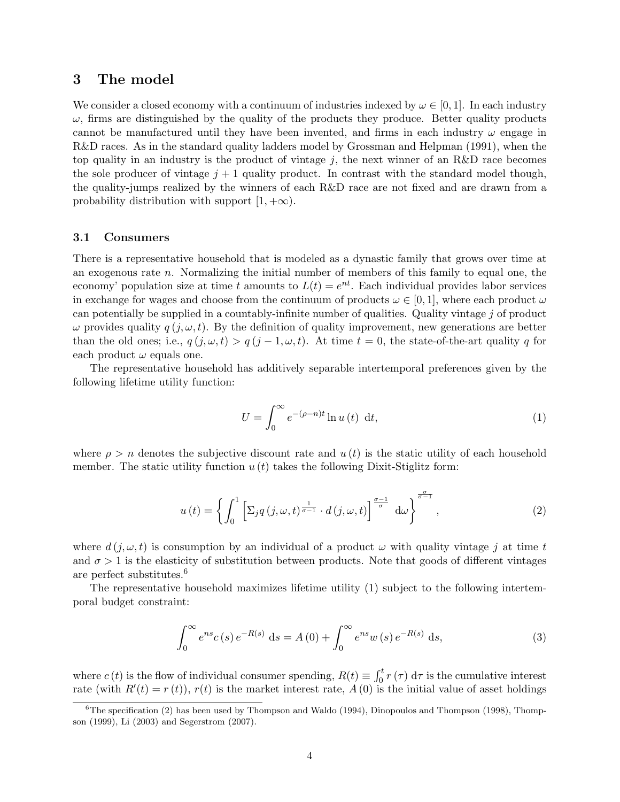## 3 The model

We consider a closed economy with a continuum of industries indexed by  $\omega \in [0,1]$ . In each industry  $\omega$ , firms are distinguished by the quality of the products they produce. Better quality products cannot be manufactured until they have been invented, and firms in each industry  $\omega$  engage in R&D races. As in the standard quality ladders model by Grossman and Helpman (1991), when the top quality in an industry is the product of vintage  $j$ , the next winner of an R&D race becomes the sole producer of vintage  $j + 1$  quality product. In contrast with the standard model though, the quality-jumps realized by the winners of each R&D race are not fixed and are drawn from a probability distribution with support  $[1, +\infty)$ .

### 3.1 Consumers

There is a representative household that is modeled as a dynastic family that grows over time at an exogenous rate n. Normalizing the initial number of members of this family to equal one, the economy' population size at time t amounts to  $L(t) = e^{nt}$ . Each individual provides labor services in exchange for wages and choose from the continuum of products  $\omega \in [0, 1]$ , where each product  $\omega$ can potentially be supplied in a countably-infinite number of qualities. Quality vintage  $j$  of product  $\omega$  provides quality  $q(j, \omega, t)$ . By the definition of quality improvement, new generations are better than the old ones; i.e.,  $q(j, \omega, t) > q(j - 1, \omega, t)$ . At time  $t = 0$ , the state-of-the-art quality q for each product  $\omega$  equals one.

The representative household has additively separable intertemporal preferences given by the following lifetime utility function:

$$
U = \int_0^\infty e^{-(\rho - n)t} \ln u(t) \, dt,\tag{1}
$$

where  $\rho > n$  denotes the subjective discount rate and  $u(t)$  is the static utility of each household member. The static utility function  $u(t)$  takes the following Dixit-Stiglitz form:

$$
u(t) = \left\{ \int_0^1 \left[ \Sigma_j q(j, \omega, t)^{\frac{1}{\sigma - 1}} \cdot d(j, \omega, t) \right]^{\frac{\sigma - 1}{\sigma}} d\omega \right\}^{\frac{\sigma}{\sigma - 1}}, \tag{2}
$$

where  $d(j, \omega, t)$  is consumption by an individual of a product  $\omega$  with quality vintage j at time t and  $\sigma > 1$  is the elasticity of substitution between products. Note that goods of different vintages are perfect substitutes.<sup>6</sup>

The representative household maximizes lifetime utility (1) subject to the following intertemporal budget constraint:

$$
\int_0^\infty e^{ns} c(s) e^{-R(s)} ds = A(0) + \int_0^\infty e^{ns} w(s) e^{-R(s)} ds,
$$
\n(3)

where  $c(t)$  is the flow of individual consumer spending,  $R(t) \equiv \int_0^t r(\tau) d\tau$  is the cumulative interest rate (with  $R'(t) = r(t)$ ),  $r(t)$  is the market interest rate,  $A(0)$  is the initial value of asset holdings

 $6$ The specification (2) has been used by Thompson and Waldo (1994), Dinopoulos and Thompson (1998), Thompson (1999), Li (2003) and Segerstrom (2007).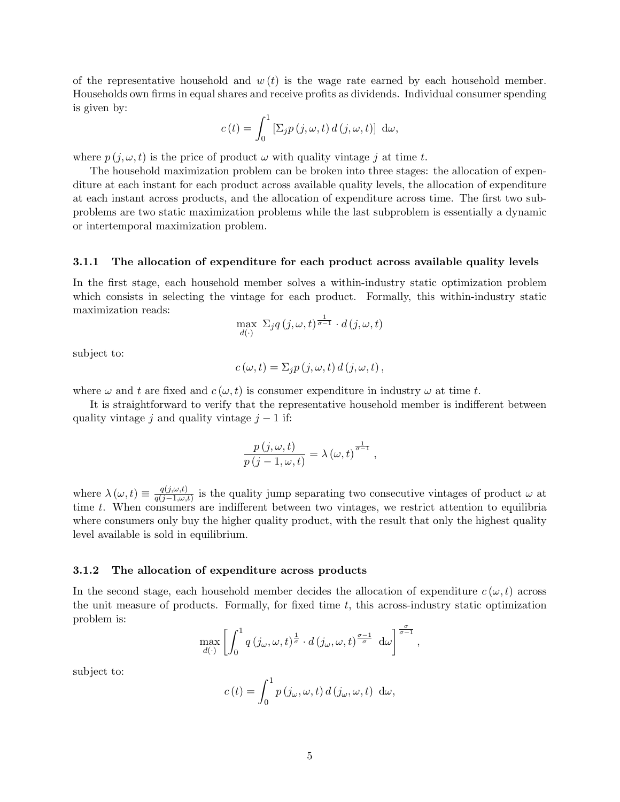of the representative household and  $w(t)$  is the wage rate earned by each household member. Households own firms in equal shares and receive profits as dividends. Individual consumer spending is given by:

$$
c(t) = \int_0^1 \left[\Sigma_j p(j,\omega,t) d(j,\omega,t)\right] d\omega,
$$

where  $p(j, \omega, t)$  is the price of product  $\omega$  with quality vintage j at time t.

The household maximization problem can be broken into three stages: the allocation of expenditure at each instant for each product across available quality levels, the allocation of expenditure at each instant across products, and the allocation of expenditure across time. The first two subproblems are two static maximization problems while the last subproblem is essentially a dynamic or intertemporal maximization problem.

#### 3.1.1 The allocation of expenditure for each product across available quality levels

In the first stage, each household member solves a within-industry static optimization problem which consists in selecting the vintage for each product. Formally, this within-industry static maximization reads:

$$
\max_{d(\cdot)} \ \Sigma_j q\,(j,\omega,t)^{\frac{1}{\sigma-1}} \cdot d\,(j,\omega,t)
$$

subject to:

$$
c(\omega, t) = \Sigma_j p(j, \omega, t) d(j, \omega, t),
$$

where  $\omega$  and t are fixed and  $c(\omega, t)$  is consumer expenditure in industry  $\omega$  at time t.

It is straightforward to verify that the representative household member is indifferent between quality vintage j and quality vintage  $j - 1$  if:

$$
\frac{p(\boldsymbol{j},\omega,t)}{p(\boldsymbol{j}-1,\omega,t)} = \lambda(\omega,t)^{\frac{1}{\sigma-1}},
$$

where  $\lambda(\omega, t) \equiv \frac{q(j,\omega,t)}{q(j-1,\omega)}$  $\frac{q(j,\omega,t)}{q(j-1,\omega,t)}$  is the quality jump separating two consecutive vintages of product  $\omega$  at time t. When consumers are indifferent between two vintages, we restrict attention to equilibria where consumers only buy the higher quality product, with the result that only the highest quality level available is sold in equilibrium.

#### 3.1.2 The allocation of expenditure across products

In the second stage, each household member decides the allocation of expenditure  $c(\omega, t)$  across the unit measure of products. Formally, for fixed time  $t$ , this across-industry static optimization problem is:

$$
\max_{d(\cdot)} \left[ \int_0^1 q\left(j_\omega, \omega, t\right)^{\frac{1}{\sigma}} \cdot d\left(j_\omega, \omega, t\right)^{\frac{\sigma-1}{\sigma}} d\omega \right]^{\frac{\sigma}{\sigma-1}},
$$

subject to:

$$
c(t) = \int_0^1 p(j\omega,\omega,t) d(j\omega,\omega,t) d\omega,
$$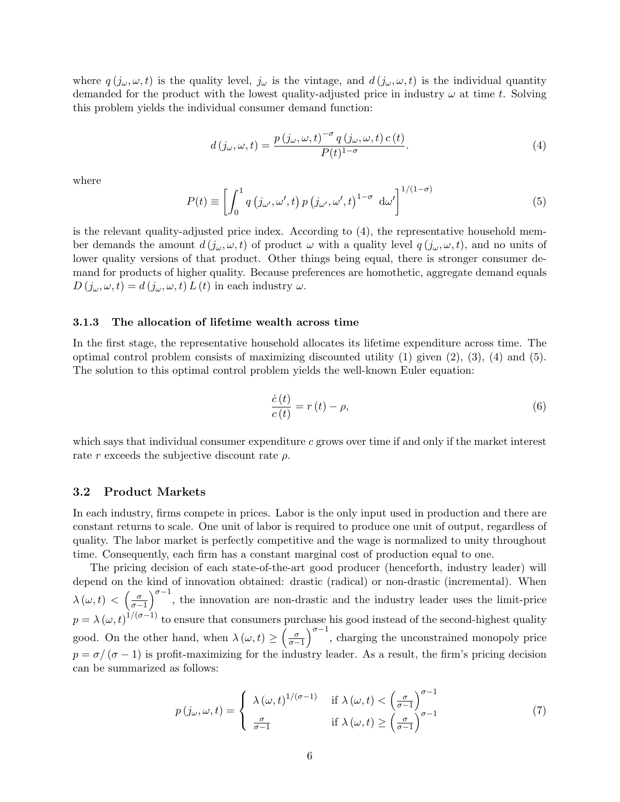where  $q(j_{\omega}, \omega, t)$  is the quality level,  $j_{\omega}$  is the vintage, and  $d(j_{\omega}, \omega, t)$  is the individual quantity demanded for the product with the lowest quality-adjusted price in industry  $\omega$  at time t. Solving this problem yields the individual consumer demand function:

$$
d(j_{\omega}, \omega, t) = \frac{p(j_{\omega}, \omega, t)^{-\sigma} q(j_{\omega}, \omega, t) c(t)}{P(t)^{1-\sigma}}.
$$
\n
$$
(4)
$$

where

$$
P(t) \equiv \left[ \int_0^1 q\left( j_{\omega'}, \omega', t \right) p\left( j_{\omega'}, \omega', t \right)^{1-\sigma} d\omega' \right]^{1/(1-\sigma)}
$$
(5)

is the relevant quality-adjusted price index. According to (4), the representative household member demands the amount  $d(j_\omega, \omega, t)$  of product  $\omega$  with a quality level  $q(j_\omega, \omega, t)$ , and no units of lower quality versions of that product. Other things being equal, there is stronger consumer demand for products of higher quality. Because preferences are homothetic, aggregate demand equals  $D(j_{\omega}, \omega, t) = d(j_{\omega}, \omega, t) L(t)$  in each industry  $\omega$ .

#### 3.1.3 The allocation of lifetime wealth across time

In the first stage, the representative household allocates its lifetime expenditure across time. The optimal control problem consists of maximizing discounted utility  $(1)$  given  $(2)$ ,  $(3)$ ,  $(4)$  and  $(5)$ . The solution to this optimal control problem yields the well-known Euler equation:

$$
\frac{\dot{c}(t)}{c(t)} = r(t) - \rho,\tag{6}
$$

which says that individual consumer expenditure  $c$  grows over time if and only if the market interest rate r exceeds the subjective discount rate  $\rho$ .

## 3.2 Product Markets

In each industry, firms compete in prices. Labor is the only input used in production and there are constant returns to scale. One unit of labor is required to produce one unit of output, regardless of quality. The labor market is perfectly competitive and the wage is normalized to unity throughout time. Consequently, each firm has a constant marginal cost of production equal to one.

The pricing decision of each state-of-the-art good producer (henceforth, industry leader) will depend on the kind of innovation obtained: drastic (radical) or non-drastic (incremental). When  $\lambda(\omega, t) < \left(\frac{\sigma}{\sigma-1}\right)^{\sigma-1}$ , the innovation are non-drastic and the industry leader uses the limit-price  $p = \lambda (\omega, t)^{1/(\sigma - 1)}$  to ensure that consumers purchase his good instead of the second-highest quality good. On the other hand, when  $\lambda(\omega, t) \geq \left(\frac{\sigma}{\sigma-1}\right)^{\sigma-1}$ , charging the unconstrained monopoly price  $p = \sigma/(\sigma - 1)$  is profit-maximizing for the industry leader. As a result, the firm's pricing decision can be summarized as follows:

$$
p(j_{\omega}, \omega, t) = \begin{cases} \lambda(\omega, t)^{1/(\sigma - 1)} & \text{if } \lambda(\omega, t) < \left(\frac{\sigma}{\sigma - 1}\right)^{\sigma - 1} \\ \frac{\sigma}{\sigma - 1} & \text{if } \lambda(\omega, t) \ge \left(\frac{\sigma}{\sigma - 1}\right)^{\sigma - 1} \end{cases}
$$
(7)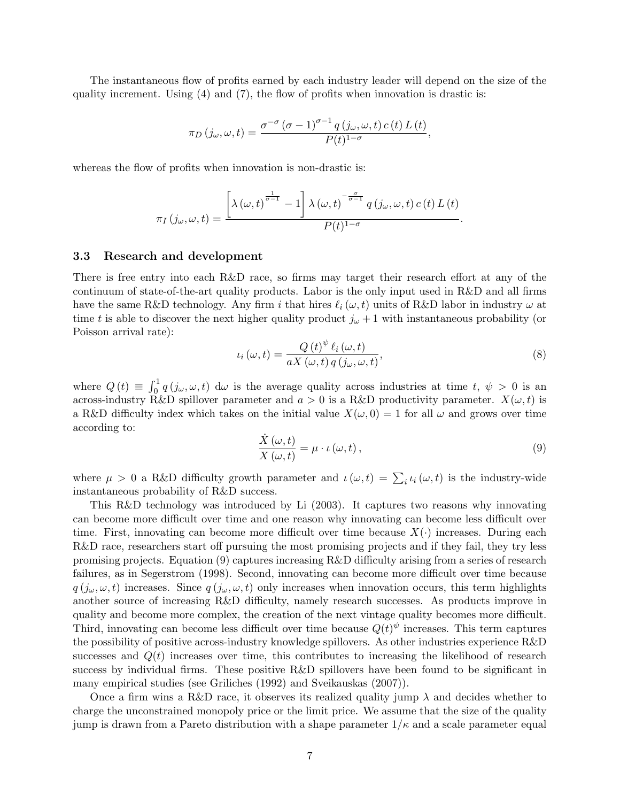The instantaneous flow of profits earned by each industry leader will depend on the size of the quality increment. Using (4) and (7), the flow of profits when innovation is drastic is:

$$
\pi_D(j_\omega,\omega,t) = \frac{\sigma^{-\sigma}(\sigma-1)^{\sigma-1}q(j_\omega,\omega,t)c(t)L(t)}{P(t)^{1-\sigma}},
$$

whereas the flow of profits when innovation is non-drastic is:

$$
\pi_I(j_\omega,\omega,t) = \frac{\left[\lambda\left(\omega,t\right)^{\frac{1}{\sigma-1}}-1\right]\lambda\left(\omega,t\right)^{-\frac{\sigma}{\sigma-1}}q\left(j_\omega,\omega,t\right)c\left(t\right)L\left(t\right)}{P(t)^{1-\sigma}}.
$$

#### 3.3 Research and development

There is free entry into each R&D race, so firms may target their research effort at any of the continuum of state-of-the-art quality products. Labor is the only input used in R&D and all firms have the same R&D technology. Any firm i that hires  $\ell_i (\omega, t)$  units of R&D labor in industry  $\omega$  at time t is able to discover the next higher quality product  $j_{\omega}+1$  with instantaneous probability (or Poisson arrival rate):

$$
\iota_i(\omega, t) = \frac{Q(t)^{\psi} \ell_i(\omega, t)}{aX(\omega, t) q(j_{\omega}, \omega, t)},
$$
\n(8)

where  $Q(t) \equiv \int_0^1 q(j_\omega,\omega,t) d\omega$  is the average quality across industries at time  $t, \psi > 0$  is an across-industry R&D spillover parameter and  $a > 0$  is a R&D productivity parameter.  $X(\omega, t)$  is a R&D difficulty index which takes on the initial value  $X(\omega, 0) = 1$  for all  $\omega$  and grows over time according to:

$$
\frac{\dot{X}(\omega,t)}{X(\omega,t)} = \mu \cdot \iota(\omega,t),\tag{9}
$$

where  $\mu > 0$  a R&D difficulty growth parameter and  $\iota(\omega, t) = \sum_i \iota_i(\omega, t)$  is the industry-wide instantaneous probability of R&D success.

This R&D technology was introduced by Li (2003). It captures two reasons why innovating can become more difficult over time and one reason why innovating can become less difficult over time. First, innovating can become more difficult over time because  $X(\cdot)$  increases. During each R&D race, researchers start off pursuing the most promising projects and if they fail, they try less promising projects. Equation (9) captures increasing R&D difficulty arising from a series of research failures, as in Segerstrom (1998). Second, innovating can become more difficult over time because  $q(j_\omega, \omega, t)$  increases. Since  $q(j_\omega, \omega, t)$  only increases when innovation occurs, this term highlights another source of increasing R&D difficulty, namely research successes. As products improve in quality and become more complex, the creation of the next vintage quality becomes more difficult. Third, innovating can become less difficult over time because  $Q(t)^{\psi}$  increases. This term captures the possibility of positive across-industry knowledge spillovers. As other industries experience R&D successes and  $Q(t)$  increases over time, this contributes to increasing the likelihood of research success by individual firms. These positive R&D spillovers have been found to be significant in many empirical studies (see Griliches (1992) and Sveikauskas (2007)).

Once a firm wins a R&D race, it observes its realized quality jump  $\lambda$  and decides whether to charge the unconstrained monopoly price or the limit price. We assume that the size of the quality jump is drawn from a Pareto distribution with a shape parameter  $1/\kappa$  and a scale parameter equal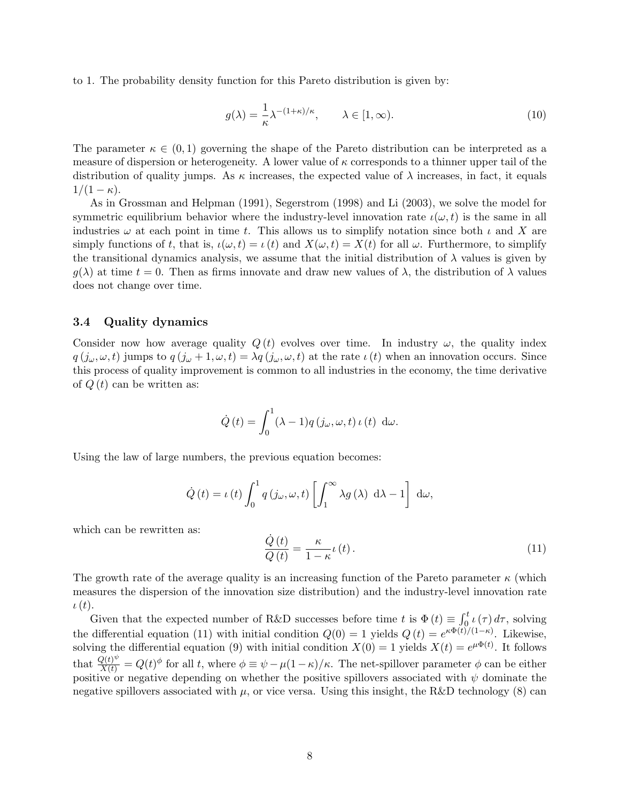to 1. The probability density function for this Pareto distribution is given by:

$$
g(\lambda) = \frac{1}{\kappa} \lambda^{-(1+\kappa)/\kappa}, \qquad \lambda \in [1, \infty). \tag{10}
$$

The parameter  $\kappa \in (0,1)$  governing the shape of the Pareto distribution can be interpreted as a measure of dispersion or heterogeneity. A lower value of  $\kappa$  corresponds to a thinner upper tail of the distribution of quality jumps. As  $\kappa$  increases, the expected value of  $\lambda$  increases, in fact, it equals  $1/(1-\kappa).$ 

As in Grossman and Helpman (1991), Segerstrom (1998) and Li (2003), we solve the model for symmetric equilibrium behavior where the industry-level innovation rate  $\iota(\omega, t)$  is the same in all industries  $\omega$  at each point in time t. This allows us to simplify notation since both  $\iota$  and X are simply functions of t, that is,  $\iota(\omega, t) = \iota(t)$  and  $X(\omega, t) = X(t)$  for all  $\omega$ . Furthermore, to simplify the transitional dynamics analysis, we assume that the initial distribution of  $\lambda$  values is given by  $g(\lambda)$  at time  $t = 0$ . Then as firms innovate and draw new values of  $\lambda$ , the distribution of  $\lambda$  values does not change over time.

## 3.4 Quality dynamics

Consider now how average quality  $Q(t)$  evolves over time. In industry  $\omega$ , the quality index  $q(j_\omega,\omega,t)$  jumps to  $q(j_\omega+1,\omega,t) = \lambda q(j_\omega,\omega,t)$  at the rate  $\iota(t)$  when an innovation occurs. Since this process of quality improvement is common to all industries in the economy, the time derivative of  $Q(t)$  can be written as:

$$
\dot{Q}(t) = \int_0^1 (\lambda - 1) q(j_\omega, \omega, t) \, \iota(t) \, d\omega.
$$

Using the law of large numbers, the previous equation becomes:

$$
\dot{Q}(t) = \iota(t) \int_0^1 q(j\omega,\omega,t) \left[ \int_1^\infty \lambda g(\lambda) \, d\lambda - 1 \right] \, d\omega,
$$

which can be rewritten as:

$$
\frac{\dot{Q}(t)}{Q(t)} = \frac{\kappa}{1 - \kappa} t(t). \tag{11}
$$

The growth rate of the average quality is an increasing function of the Pareto parameter  $\kappa$  (which measures the dispersion of the innovation size distribution) and the industry-level innovation rate  $\iota(t).$ 

Given that the expected number of R&D successes before time t is  $\Phi(t) \equiv \int_0^t \mu(\tau) d\tau$ , solving the differential equation (11) with initial condition  $Q(0) = 1$  yields  $Q(t) = e^{\kappa \Phi(t)/(1-\kappa)}$ . Likewise, solving the differential equation (9) with initial condition  $X(0) = 1$  yields  $X(t) = e^{\mu \Phi(t)}$ . It follows that  $\frac{Q(t)^{\psi}}{X(t)} = Q(t)^{\phi}$  for all t, where  $\phi \equiv \psi - \mu(1-\kappa)/\kappa$ . The net-spillover parameter  $\phi$  can be either positive or negative depending on whether the positive spillovers associated with  $\psi$  dominate the negative spillovers associated with  $\mu$ , or vice versa. Using this insight, the R&D technology (8) can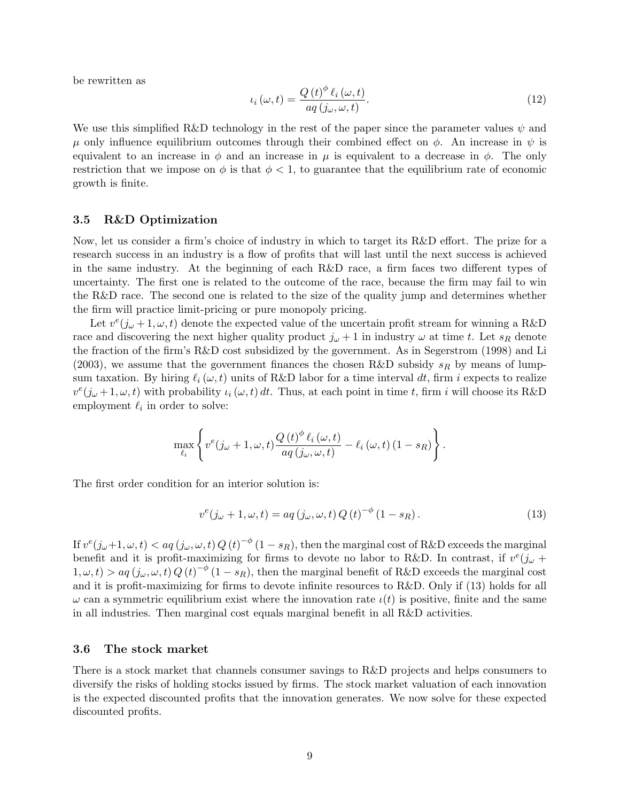be rewritten as

$$
\iota_i(\omega, t) = \frac{Q(t)^{\phi} \ell_i(\omega, t)}{aq(j_{\omega}, \omega, t)}.
$$
\n(12)

We use this simplified R&D technology in the rest of the paper since the parameter values  $\psi$  and  $\mu$  only influence equilibrium outcomes through their combined effect on  $\phi$ . An increase in  $\psi$  is equivalent to an increase in  $\phi$  and an increase in  $\mu$  is equivalent to a decrease in  $\phi$ . The only restriction that we impose on  $\phi$  is that  $\phi < 1$ , to guarantee that the equilibrium rate of economic growth is finite.

## 3.5 R&D Optimization

Now, let us consider a firm's choice of industry in which to target its R&D effort. The prize for a research success in an industry is a flow of profits that will last until the next success is achieved in the same industry. At the beginning of each R&D race, a firm faces two different types of uncertainty. The first one is related to the outcome of the race, because the firm may fail to win the R&D race. The second one is related to the size of the quality jump and determines whether the firm will practice limit-pricing or pure monopoly pricing.

Let  $v^e(j_\omega+1,\omega,t)$  denote the expected value of the uncertain profit stream for winning a R&D race and discovering the next higher quality product  $j_{\omega} + 1$  in industry  $\omega$  at time t. Let  $s_R$  denote the fraction of the firm's R&D cost subsidized by the government. As in Segerstrom (1998) and Li (2003), we assume that the government finances the chosen R&D subsidy  $s_R$  by means of lumpsum taxation. By hiring  $\ell_i (\omega, t)$  units of R&D labor for a time interval dt, firm i expects to realize  $v^e(j_\omega+1,\omega,t)$  with probability  $\iota_i(\omega,t) dt$ . Thus, at each point in time t, firm i will choose its R&D employment  $\ell_i$  in order to solve:

$$
\max_{\ell_i} \left\{ v^e(j_\omega+1,\omega,t) \frac{Q(t)^{\phi} \ell_i(\omega,t)}{aq(j_\omega,\omega,t)} - \ell_i(\omega,t) (1-s_R) \right\}.
$$

The first order condition for an interior solution is:

$$
v^{e}(j_{\omega} + 1, \omega, t) = aq(j_{\omega}, \omega, t) Q(t)^{-\phi} (1 - s_{R}).
$$
\n(13)

If  $v^e(j_\omega+1,\omega,t) < aq(j_\omega,\omega,t)Q(t)^{-\phi}\left(1-s_R\right),$  then the marginal cost of R&D exceeds the marginal benefit and it is profit-maximizing for firms to devote no labor to R&D. In contrast, if  $v^e(j_\omega +$  $1, \omega, t$  >  $aq(j_{\omega}, \omega, t) Q(t)^{-\phi} (1 - s_R)$ , then the marginal benefit of R&D exceeds the marginal cost and it is profit-maximizing for firms to devote infinite resources to R&D. Only if (13) holds for all  $\omega$  can a symmetric equilibrium exist where the innovation rate  $\iota(t)$  is positive, finite and the same in all industries. Then marginal cost equals marginal benefit in all R&D activities.

#### 3.6 The stock market

There is a stock market that channels consumer savings to R&D projects and helps consumers to diversify the risks of holding stocks issued by firms. The stock market valuation of each innovation is the expected discounted profits that the innovation generates. We now solve for these expected discounted profits.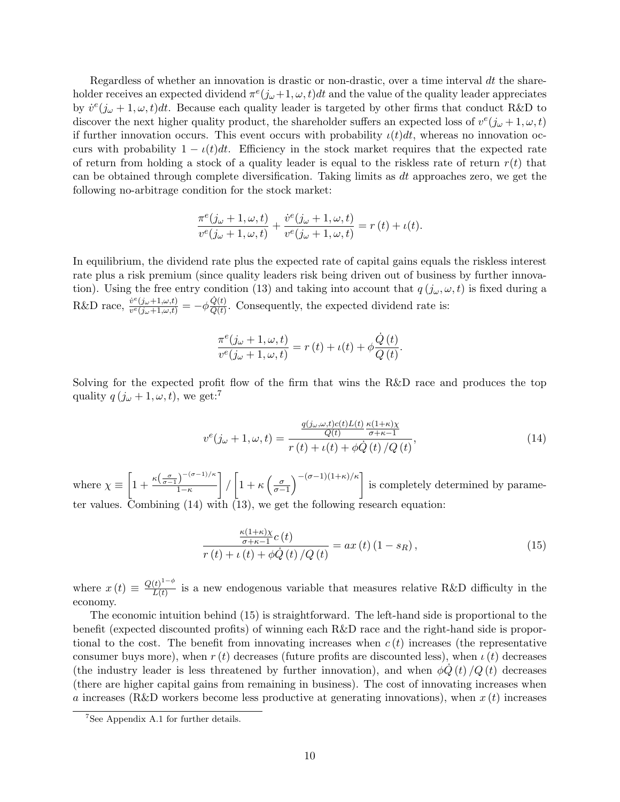Regardless of whether an innovation is drastic or non-drastic, over a time interval dt the shareholder receives an expected dividend  $\pi^e(j_\omega+1,\omega,t)dt$  and the value of the quality leader appreciates by  $\dot{v}^e(j_\omega+1,\omega,t)dt$ . Because each quality leader is targeted by other firms that conduct R&D to discover the next higher quality product, the shareholder suffers an expected loss of  $v^e(j_\omega+1,\omega,t)$ if further innovation occurs. This event occurs with probability  $\iota(t)dt$ , whereas no innovation occurs with probability  $1 - \iota(t)dt$ . Efficiency in the stock market requires that the expected rate of return from holding a stock of a quality leader is equal to the riskless rate of return  $r(t)$  that can be obtained through complete diversification. Taking limits as  $dt$  approaches zero, we get the following no-arbitrage condition for the stock market:

$$
\frac{\pi^e(j_\omega+1,\omega,t)}{v^e(j_\omega+1,\omega,t)}+\frac{\dot{v}^e(j_\omega+1,\omega,t)}{v^e(j_\omega+1,\omega,t)}=r(t)+\iota(t).
$$

In equilibrium, the dividend rate plus the expected rate of capital gains equals the riskless interest rate plus a risk premium (since quality leaders risk being driven out of business by further innovation). Using the free entry condition (13) and taking into account that  $q(j_{\omega}, \omega, t)$  is fixed during a R&D race,  $\frac{\dot{v}^e(j_\omega+1,\omega,t)}{v^e(j_1+1,\omega,t)}$  $\frac{\dot{v}^e(j\omega+1,\omega,t)}{v^e(j\omega+1,\omega,t)} = -\phi \frac{\dot{Q}(t)}{Q(t)}$  $\frac{Q(t)}{Q(t)}$ . Consequently, the expected dividend rate is:

$$
\frac{\pi^{e}(j_{\omega}+1,\omega,t)}{v^{e}(j_{\omega}+1,\omega,t)}=r(t)+\iota(t)+\phi\frac{\dot{Q}(t)}{Q(t)}.
$$

Solving for the expected profit flow of the firm that wins the R&D race and produces the top quality  $q(j_\omega+1,\omega,t)$ , we get:<sup>7</sup>

$$
v^{e}(j_{\omega}+1,\omega,t) = \frac{\frac{q(j_{\omega},\omega,t)c(t)L(t)}{Q(t)}\frac{\kappa(1+\kappa)\chi}{\sigma+\kappa-1}}{r(t)+\iota(t)+\phi\dot{Q}(t)/Q(t)},
$$
\n(14)

where  $\chi \equiv \left[1 + \frac{\kappa(\frac{\sigma}{\sigma-1})^{-(\sigma-1)/\kappa}}{1-\kappa}\right]$  $1-\kappa$  $\left[\frac{1}{\sigma-1}\right]^{-\frac{(\sigma-1)(1+\kappa)}{\kappa}}$  is completely determined by parameter values. Combining (14) with (13), we get the following research equation:

$$
\frac{\frac{\kappa(1+\kappa)\chi}{\sigma+\kappa-1}c(t)}{r(t)+\iota(t)+\phi\dot{Q}(t)/Q(t)} = ax(t)(1-s_R),
$$
\n(15)

where  $x(t) \equiv \frac{Q(t)^{1-\phi}}{L(t)}$  $\frac{L(t)}{L(t)}$  is a new endogenous variable that measures relative R&D difficulty in the economy.

The economic intuition behind (15) is straightforward. The left-hand side is proportional to the benefit (expected discounted profits) of winning each R&D race and the right-hand side is proportional to the cost. The benefit from innovating increases when  $c(t)$  increases (the representative consumer buys more), when  $r(t)$  decreases (future profits are discounted less), when  $\iota(t)$  decreases (the industry leader is less threatened by further innovation), and when  $\phi \dot{Q}(t) / Q(t)$  decreases (there are higher capital gains from remaining in business). The cost of innovating increases when a increases (R&D workers become less productive at generating innovations), when  $x(t)$  increases

<sup>7</sup>See Appendix A.1 for further details.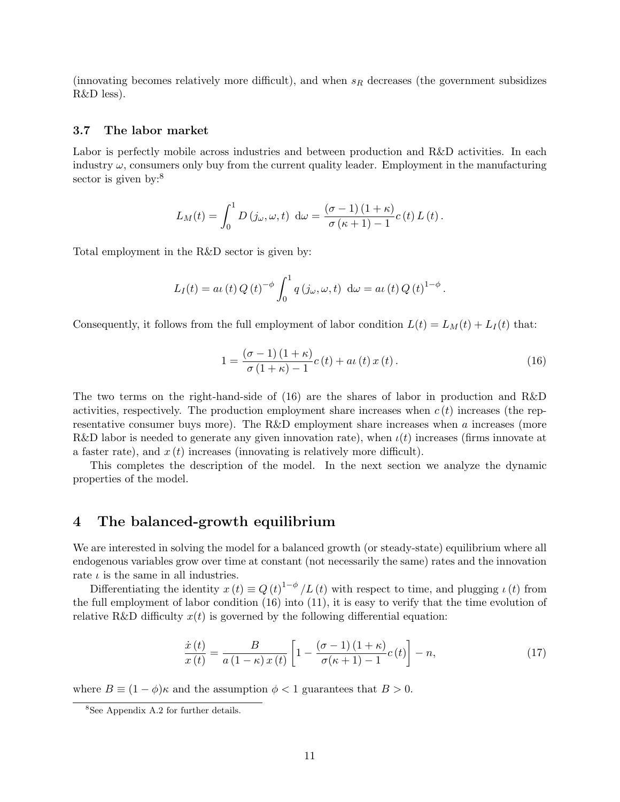(innovating becomes relatively more difficult), and when  $s_R$  decreases (the government subsidizes R&D less).

#### 3.7 The labor market

Labor is perfectly mobile across industries and between production and R&D activities. In each industry  $\omega$ , consumers only buy from the current quality leader. Employment in the manufacturing sector is given by:<sup>8</sup>

$$
L_M(t) = \int_0^1 D(j\omega,\omega,t) d\omega = \frac{(\sigma - 1)(1 + \kappa)}{\sigma(\kappa + 1) - 1} c(t) L(t).
$$

Total employment in the R&D sector is given by:

$$
L_I(t) = a\iota(t) Q(t)^{-\phi} \int_0^1 q(j\omega, \omega, t) d\omega = a\iota(t) Q(t)^{1-\phi}.
$$

Consequently, it follows from the full employment of labor condition  $L(t) = L_M(t) + L_I(t)$  that:

$$
1 = \frac{(\sigma - 1)(1 + \kappa)}{\sigma(1 + \kappa) - 1} c(t) + a\iota(t) x(t).
$$
 (16)

The two terms on the right-hand-side of (16) are the shares of labor in production and R&D activities, respectively. The production employment share increases when  $c(t)$  increases (the representative consumer buys more). The R&D employment share increases when a increases (more R&D labor is needed to generate any given innovation rate), when  $\iota(t)$  increases (firms innovate at a faster rate), and  $x(t)$  increases (innovating is relatively more difficult).

This completes the description of the model. In the next section we analyze the dynamic properties of the model.

## 4 The balanced-growth equilibrium

We are interested in solving the model for a balanced growth (or steady-state) equilibrium where all endogenous variables grow over time at constant (not necessarily the same) rates and the innovation rate  $\iota$  is the same in all industries.

Differentiating the identity  $x(t) \equiv Q(t)^{1-\phi}/L(t)$  with respect to time, and plugging  $\iota(t)$  from the full employment of labor condition (16) into (11), it is easy to verify that the time evolution of relative R&D difficulty  $x(t)$  is governed by the following differential equation:

$$
\frac{\dot{x}(t)}{x(t)} = \frac{B}{a(1-\kappa)x(t)} \left[ 1 - \frac{(\sigma-1)(1+\kappa)}{\sigma(\kappa+1)-1} c(t) \right] - n,\tag{17}
$$

where  $B \equiv (1 - \phi)\kappa$  and the assumption  $\phi < 1$  guarantees that  $B > 0$ .

<sup>8</sup>See Appendix A.2 for further details.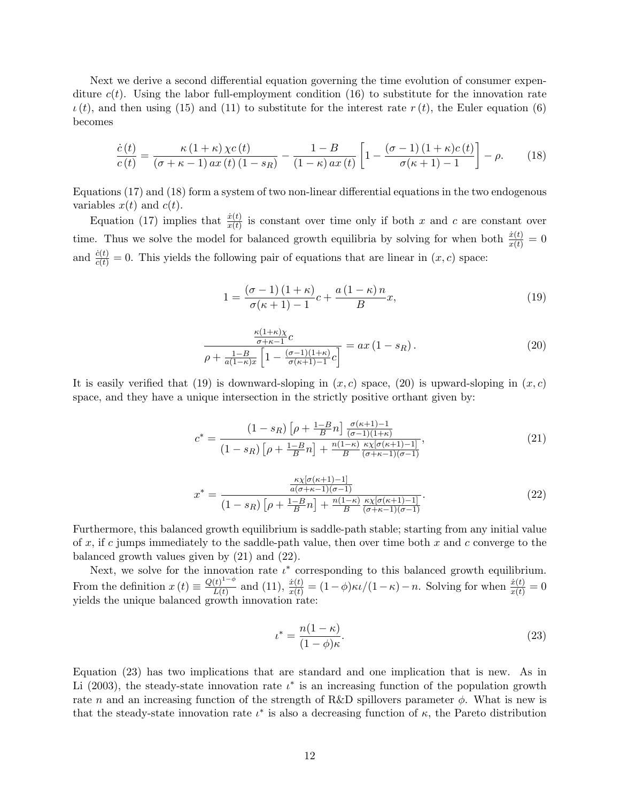Next we derive a second differential equation governing the time evolution of consumer expenditure  $c(t)$ . Using the labor full-employment condition (16) to substitute for the innovation rate  $\iota(t)$ , and then using (15) and (11) to substitute for the interest rate  $r(t)$ , the Euler equation (6) becomes

$$
\frac{\dot{c}(t)}{c(t)} = \frac{\kappa (1+\kappa) \chi c(t)}{(\sigma + \kappa - 1) \, ax(t) \, (1-s_R)} - \frac{1-B}{(1-\kappa) \, ax(t)} \left[ 1 - \frac{(\sigma - 1) \, (1+\kappa) c(t)}{\sigma(\kappa + 1) - 1} \right] - \rho. \tag{18}
$$

Equations (17) and (18) form a system of two non-linear differential equations in the two endogenous variables  $x(t)$  and  $c(t)$ .

Equation (17) implies that  $\frac{\dot{x}(t)}{x(t)}$  is constant over time only if both x and c are constant over time. Thus we solve the model for balanced growth equilibria by solving for when both  $\frac{\dot{x}(t)}{x(t)} = 0$ and  $\frac{\dot{c}(t)}{c(t)} = 0$ . This yields the following pair of equations that are linear in  $(x, c)$  space:

$$
1 = \frac{\left(\sigma - 1\right)\left(1 + \kappa\right)}{\sigma(\kappa + 1) - 1}c + \frac{a\left(1 - \kappa\right)n}{B}x,\tag{19}
$$

$$
\frac{\frac{\kappa(1+\kappa)\chi}{\sigma+\kappa-1}c}{\rho+\frac{1-B}{a(1-\kappa)x}\left[1-\frac{(\sigma-1)(1+\kappa)}{\sigma(\kappa+1)-1}c\right]} = ax\left(1-s_R\right). \tag{20}
$$

It is easily verified that (19) is downward-sloping in  $(x, c)$  space, (20) is upward-sloping in  $(x, c)$ space, and they have a unique intersection in the strictly positive orthant given by:

$$
c^* = \frac{(1 - s_R) \left[ \rho + \frac{1 - B}{B} n \right] \frac{\sigma(\kappa + 1) - 1}{(\sigma - 1)(1 + \kappa)}}{(1 - s_R) \left[ \rho + \frac{1 - B}{B} n \right] + \frac{n(1 - \kappa)}{B} \frac{\kappa \chi[\sigma(\kappa + 1) - 1]}{(\sigma + \kappa - 1)(\sigma - 1)}},\tag{21}
$$

$$
x^* = \frac{\frac{\kappa \chi[\sigma(\kappa+1)-1]}{a(\sigma+\kappa-1)(\sigma-1)}}{(1-s_R)\left[\rho+\frac{1-B}{B}n\right] + \frac{n(1-\kappa)}{B}\frac{\kappa \chi[\sigma(\kappa+1)-1]}{(\sigma+\kappa-1)(\sigma-1)}}.\tag{22}
$$

Furthermore, this balanced growth equilibrium is saddle-path stable; starting from any initial value of x, if c jumps immediately to the saddle-path value, then over time both x and c converge to the balanced growth values given by (21) and (22).

Next, we solve for the innovation rate  $\iota^*$  corresponding to this balanced growth equilibrium. From the definition  $x(t) \equiv \frac{Q(t)^{1-\phi}}{L(t)}$  $\frac{u(t)^{1-\phi}}{L(t)}$  and (11),  $\frac{\dot{x}(t)}{x(t)} = (1-\phi)\kappa \iota/(1-\kappa) - n$ . Solving for when  $\frac{\dot{x}(t)}{x(t)} = 0$ yields the unique balanced growth innovation rate:

$$
\iota^* = \frac{n(1 - \kappa)}{(1 - \phi)\kappa}.\tag{23}
$$

Equation (23) has two implications that are standard and one implication that is new. As in Li (2003), the steady-state innovation rate  $\iota^*$  is an increasing function of the population growth rate n and an increasing function of the strength of R&D spillovers parameter  $\phi$ . What is new is that the steady-state innovation rate  $\iota^*$  is also a decreasing function of  $\kappa$ , the Pareto distribution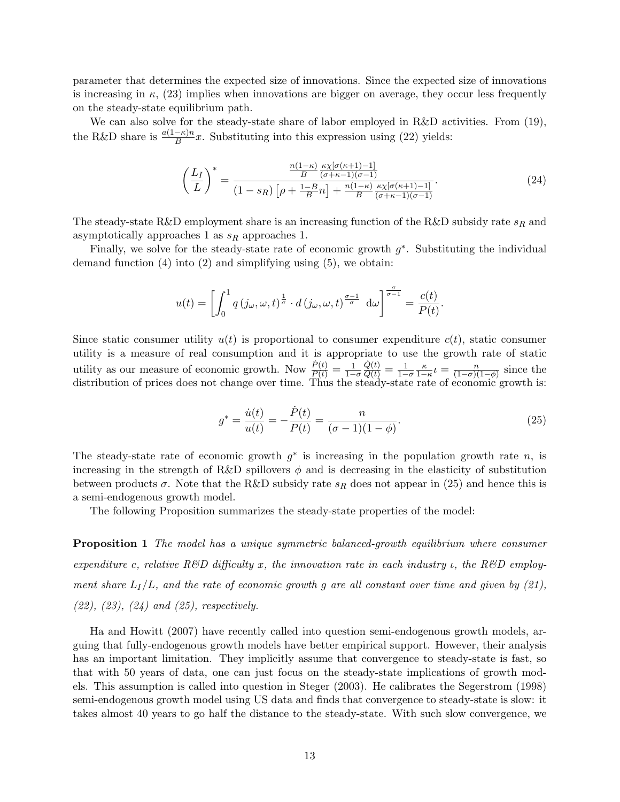parameter that determines the expected size of innovations. Since the expected size of innovations is increasing in  $\kappa$ , (23) implies when innovations are bigger on average, they occur less frequently on the steady-state equilibrium path.

We can also solve for the steady-state share of labor employed in R&D activities. From  $(19)$ , the R&D share is  $\frac{a(1-\kappa)n}{B}x$ . Substituting into this expression using (22) yields:

$$
\left(\frac{L_I}{L}\right)^* = \frac{\frac{n(1-\kappa)}{B} \frac{\kappa \chi[\sigma(\kappa+1)-1]}{(\sigma+\kappa-1)(\sigma-1)}}{(1-s_R)\left[\rho + \frac{1-B}{B}n\right] + \frac{n(1-\kappa)}{B} \frac{\kappa \chi[\sigma(\kappa+1)-1]}{(\sigma+\kappa-1)(\sigma-1)}}.
$$
\n(24)

The steady-state R&D employment share is an increasing function of the R&D subsidy rate  $s_R$  and asymptotically approaches 1 as  $s_R$  approaches 1.

Finally, we solve for the steady-state rate of economic growth  $g^*$ . Substituting the individual demand function  $(4)$  into  $(2)$  and simplifying using  $(5)$ , we obtain:

$$
u(t) = \left[ \int_0^1 q(j_{\omega}, \omega, t)^{\frac{1}{\sigma}} \cdot d(j_{\omega}, \omega, t)^{\frac{\sigma - 1}{\sigma}} d\omega \right]^{\frac{\sigma}{\sigma - 1}} = \frac{c(t)}{P(t)}.
$$

Since static consumer utility  $u(t)$  is proportional to consumer expenditure  $c(t)$ , static consumer utility is a measure of real consumption and it is appropriate to use the growth rate of static utility as our measure of economic growth. Now  $\frac{\dot{P}(t)}{P(t)} = \frac{1}{1-\sigma}$  $\frac{\dot{Q}(t)}{Q(t)} = \frac{1}{1-\sigma} \frac{\kappa}{1-\kappa} t = \frac{n}{(1-\sigma)(1-\sigma)}$  $\frac{n}{(1-\sigma)(1-\phi)}$  since the distribution of prices does not change over time. Thus the steady-state rate of economic growth is:

$$
g^* = \frac{\dot{u}(t)}{u(t)} = -\frac{\dot{P}(t)}{P(t)} = \frac{n}{(\sigma - 1)(1 - \phi)}.
$$
\n(25)

The steady-state rate of economic growth  $g^*$  is increasing in the population growth rate n, is increasing in the strength of R&D spillovers  $\phi$  and is decreasing in the elasticity of substitution between products  $\sigma$ . Note that the R&D subsidy rate  $s_R$  does not appear in (25) and hence this is a semi-endogenous growth model.

The following Proposition summarizes the steady-state properties of the model:

**Proposition 1** The model has a unique symmetric balanced-growth equilibrium where consumer expenditure c, relative  $R\&D$  difficulty x, the innovation rate in each industry  $\iota$ , the  $R\&D$  employment share  $L_I/L$ , and the rate of economic growth g are all constant over time and given by (21),  $(22), (23), (24)$  and  $(25),$  respectively.

Ha and Howitt (2007) have recently called into question semi-endogenous growth models, arguing that fully-endogenous growth models have better empirical support. However, their analysis has an important limitation. They implicitly assume that convergence to steady-state is fast, so that with 50 years of data, one can just focus on the steady-state implications of growth models. This assumption is called into question in Steger (2003). He calibrates the Segerstrom (1998) semi-endogenous growth model using US data and finds that convergence to steady-state is slow: it takes almost 40 years to go half the distance to the steady-state. With such slow convergence, we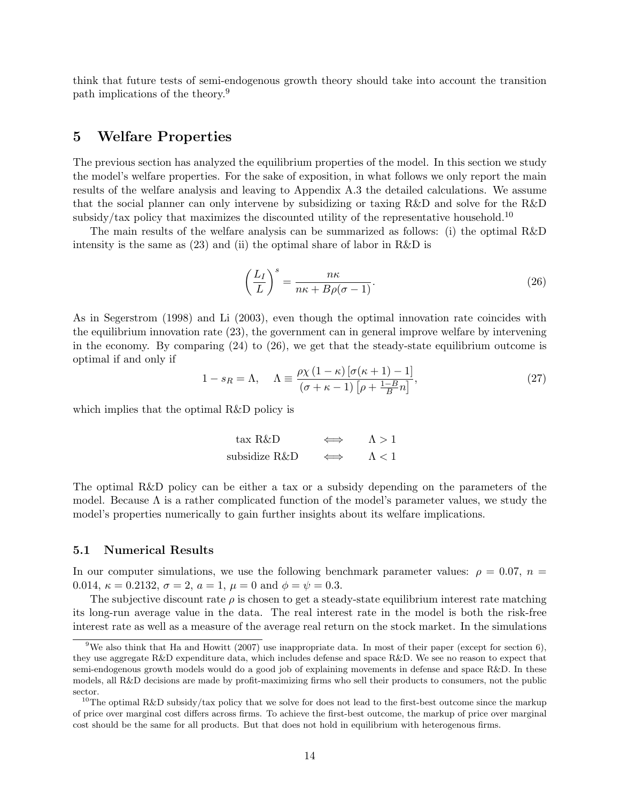think that future tests of semi-endogenous growth theory should take into account the transition path implications of the theory.<sup>9</sup>

## 5 Welfare Properties

The previous section has analyzed the equilibrium properties of the model. In this section we study the model's welfare properties. For the sake of exposition, in what follows we only report the main results of the welfare analysis and leaving to Appendix A.3 the detailed calculations. We assume that the social planner can only intervene by subsidizing or taxing R&D and solve for the R&D subsidy/tax policy that maximizes the discounted utility of the representative household.<sup>10</sup>

The main results of the welfare analysis can be summarized as follows: (i) the optimal R&D intensity is the same as  $(23)$  and (ii) the optimal share of labor in R&D is

$$
\left(\frac{L_I}{L}\right)^s = \frac{n\kappa}{n\kappa + B\rho(\sigma - 1)}.\tag{26}
$$

As in Segerstrom (1998) and Li (2003), even though the optimal innovation rate coincides with the equilibrium innovation rate (23), the government can in general improve welfare by intervening in the economy. By comparing  $(24)$  to  $(26)$ , we get that the steady-state equilibrium outcome is optimal if and only if

$$
1 - s_R = \Lambda, \quad \Lambda \equiv \frac{\rho \chi \left( 1 - \kappa \right) \left[ \sigma (\kappa + 1) - 1 \right]}{\left( \sigma + \kappa - 1 \right) \left[ \rho + \frac{1 - B}{B} n \right]},\tag{27}
$$

which implies that the optimal R&D policy is

| $\text{tax}$ R&D |   | $\Lambda > 1$ |
|------------------|---|---------------|
| subsidize R&D    | ⇔ | $\Lambda < 1$ |

The optimal R&D policy can be either a tax or a subsidy depending on the parameters of the model. Because  $\Lambda$  is a rather complicated function of the model's parameter values, we study the model's properties numerically to gain further insights about its welfare implications.

## 5.1 Numerical Results

In our computer simulations, we use the following benchmark parameter values:  $\rho = 0.07$ ,  $n =$ 0.014,  $\kappa = 0.2132$ ,  $\sigma = 2$ ,  $a = 1$ ,  $\mu = 0$  and  $\phi = \psi = 0.3$ .

The subjective discount rate  $\rho$  is chosen to get a steady-state equilibrium interest rate matching its long-run average value in the data. The real interest rate in the model is both the risk-free interest rate as well as a measure of the average real return on the stock market. In the simulations

<sup>&</sup>lt;sup>9</sup>We also think that Ha and Howitt (2007) use inappropriate data. In most of their paper (except for section 6), they use aggregate R&D expenditure data, which includes defense and space R&D. We see no reason to expect that semi-endogenous growth models would do a good job of explaining movements in defense and space R&D. In these models, all R&D decisions are made by profit-maximizing firms who sell their products to consumers, not the public sector.

<sup>&</sup>lt;sup>10</sup>The optimal R&D subsidy/tax policy that we solve for does not lead to the first-best outcome since the markup of price over marginal cost differs across firms. To achieve the first-best outcome, the markup of price over marginal cost should be the same for all products. But that does not hold in equilibrium with heterogenous firms.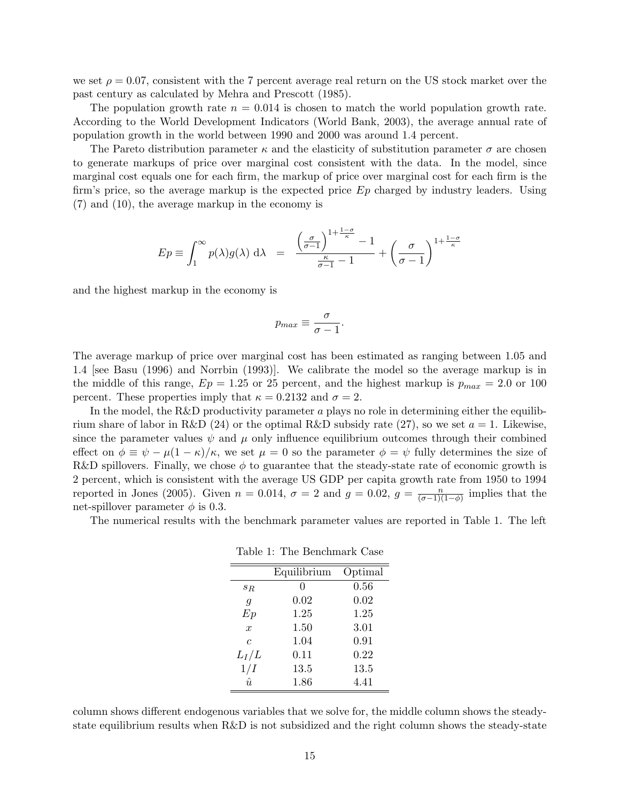we set  $\rho = 0.07$ , consistent with the 7 percent average real return on the US stock market over the past century as calculated by Mehra and Prescott (1985).

The population growth rate  $n = 0.014$  is chosen to match the world population growth rate. According to the World Development Indicators (World Bank, 2003), the average annual rate of population growth in the world between 1990 and 2000 was around 1.4 percent.

The Pareto distribution parameter  $\kappa$  and the elasticity of substitution parameter  $\sigma$  are chosen to generate markups of price over marginal cost consistent with the data. In the model, since marginal cost equals one for each firm, the markup of price over marginal cost for each firm is the firm's price, so the average markup is the expected price  $Ep$  charged by industry leaders. Using (7) and (10), the average markup in the economy is

$$
Ep \equiv \int_1^\infty p(\lambda)g(\lambda) \, d\lambda = \frac{\left(\frac{\sigma}{\sigma-1}\right)^{1+\frac{1-\sigma}{\kappa}} - 1}{\frac{\kappa}{\sigma-1} - 1} + \left(\frac{\sigma}{\sigma-1}\right)^{1+\frac{1-\sigma}{\kappa}}
$$

and the highest markup in the economy is

$$
p_{max} \equiv \frac{\sigma}{\sigma - 1}.
$$

The average markup of price over marginal cost has been estimated as ranging between 1.05 and 1.4 [see Basu (1996) and Norrbin (1993)]. We calibrate the model so the average markup is in the middle of this range,  $Ep = 1.25$  or 25 percent, and the highest markup is  $p_{max} = 2.0$  or 100 percent. These properties imply that  $\kappa = 0.2132$  and  $\sigma = 2$ .

In the model, the R&D productivity parameter  $a$  plays no role in determining either the equilibrium share of labor in R&D (24) or the optimal R&D subsidy rate (27), so we set  $a = 1$ . Likewise, since the parameter values  $\psi$  and  $\mu$  only influence equilibrium outcomes through their combined effect on  $\phi \equiv \psi - \mu(1 - \kappa)/\kappa$ , we set  $\mu = 0$  so the parameter  $\phi = \psi$  fully determines the size of R&D spillovers. Finally, we chose  $\phi$  to guarantee that the steady-state rate of economic growth is 2 percent, which is consistent with the average US GDP per capita growth rate from 1950 to 1994 reported in Jones (2005). Given  $n = 0.014$ ,  $\sigma = 2$  and  $g = 0.02$ ,  $g = \frac{n}{(\sigma - 1)}$  $\frac{n}{(\sigma-1)(1-\phi)}$  implies that the net-spillover parameter  $\phi$  is 0.3.

The numerical results with the benchmark parameter values are reported in Table 1. The left

|  | Table 1: The Benchmark Case |  |
|--|-----------------------------|--|
|  |                             |  |

|                  | Equilibrium | Optimal |
|------------------|-------------|---------|
| $s_{R}$          | 0           | 0.56    |
| $\overline{q}$   | 0.02        | 0.02    |
| Ep               | 1.25        | 1.25    |
| $\boldsymbol{x}$ | 1.50        | 3.01    |
| $\epsilon$       | 1.04        | 0.91    |
| $L_I/L$          | 0.11        | 0.22    |
| 1/I              | 13.5        | 13.5    |
| $\hat{u}$        | 1.86        | 4.41    |

column shows different endogenous variables that we solve for, the middle column shows the steadystate equilibrium results when R&D is not subsidized and the right column shows the steady-state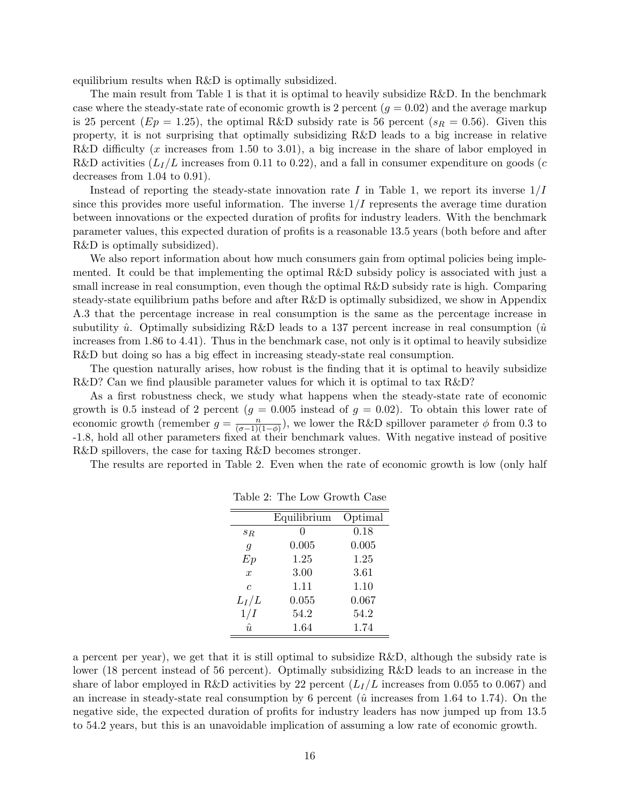equilibrium results when R&D is optimally subsidized.

The main result from Table 1 is that it is optimal to heavily subsidize R&D. In the benchmark case where the steady-state rate of economic growth is 2 percent  $(g = 0.02)$  and the average markup is 25 percent ( $Ep = 1.25$ ), the optimal R&D subsidy rate is 56 percent ( $s_R = 0.56$ ). Given this property, it is not surprising that optimally subsidizing R&D leads to a big increase in relative R&D difficulty (x increases from 1.50 to 3.01), a big increase in the share of labor employed in R&D activities  $(L_I/L$  increases from 0.11 to 0.22), and a fall in consumer expenditure on goods (c decreases from 1.04 to 0.91).

Instead of reporting the steady-state innovation rate I in Table 1, we report its inverse  $1/I$ since this provides more useful information. The inverse  $1/I$  represents the average time duration between innovations or the expected duration of profits for industry leaders. With the benchmark parameter values, this expected duration of profits is a reasonable 13.5 years (both before and after R&D is optimally subsidized).

We also report information about how much consumers gain from optimal policies being implemented. It could be that implementing the optimal R&D subsidy policy is associated with just a small increase in real consumption, even though the optimal R&D subsidy rate is high. Comparing steady-state equilibrium paths before and after R&D is optimally subsidized, we show in Appendix A.3 that the percentage increase in real consumption is the same as the percentage increase in subutility  $\hat{u}$ . Optimally subsidizing R&D leads to a 137 percent increase in real consumption  $(\hat{u})$ increases from 1.86 to 4.41). Thus in the benchmark case, not only is it optimal to heavily subsidize R&D but doing so has a big effect in increasing steady-state real consumption.

The question naturally arises, how robust is the finding that it is optimal to heavily subsidize R&D? Can we find plausible parameter values for which it is optimal to tax R&D?

As a first robustness check, we study what happens when the steady-state rate of economic growth is 0.5 instead of 2 percent ( $g = 0.005$  instead of  $g = 0.02$ ). To obtain this lower rate of economic growth (remember  $g = \frac{n}{(q-1)!}$  $\frac{n}{(\sigma-1)(1-\phi)}$ , we lower the R&D spillover parameter  $\phi$  from 0.3 to -1.8, hold all other parameters fixed at their benchmark values. With negative instead of positive R&D spillovers, the case for taxing R&D becomes stronger.

The results are reported in Table 2. Even when the rate of economic growth is low (only half

|                | Equilibrium | Optimal |
|----------------|-------------|---------|
| $s_{R}$        | 0           | 0.18    |
| $\overline{g}$ | 0.005       | 0.005   |
| Ep             | 1.25        | 1.25    |
| $\mathcal{X}$  | 3.00        | 3.61    |
| $\epsilon$     | 1.11        | 1.10    |
| $L_I/L$        | 0.055       | 0.067   |
| 1/I            | 54.2        | 54.2    |
| $\hat{u}$      | 1.64        | 1.74    |

Table 2: The Low Growth Case

a percent per year), we get that it is still optimal to subsidize R&D, although the subsidy rate is lower (18 percent instead of 56 percent). Optimally subsidizing R&D leads to an increase in the share of labor employed in R&D activities by 22 percent  $(L_I/L)$  increases from 0.055 to 0.067) and an increase in steady-state real consumption by 6 percent ( $\hat{u}$  increases from 1.64 to 1.74). On the negative side, the expected duration of profits for industry leaders has now jumped up from 13.5 to 54.2 years, but this is an unavoidable implication of assuming a low rate of economic growth.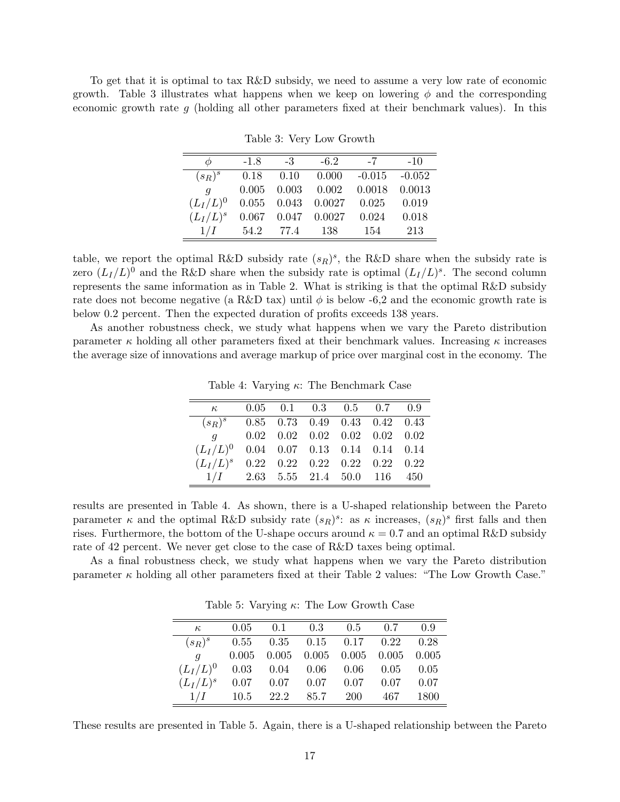To get that it is optimal to tax R&D subsidy, we need to assume a very low rate of economic growth. Table 3 illustrates what happens when we keep on lowering  $\phi$  and the corresponding economic growth rate g (holding all other parameters fixed at their benchmark values). In this

Table 3: Very Low Growth

| Ф                | $-1.8$ | $-3$  | $-6.2$                   | $-7$     | $-10$    |
|------------------|--------|-------|--------------------------|----------|----------|
| $(s_R)^s$        | 0.18   | 0.10  | 0.000                    | $-0.015$ | $-0.052$ |
| $\boldsymbol{q}$ | 0.005  | 0.003 | 0.002                    | 0.0018   | 0.0013   |
| $(L_I/L)^0$      |        |       | $0.055$ $0.043$ $0.0027$ | 0.025    | 0.019    |
| $(L_I/L)^s$      | 0.067  |       | $0.047$ 0.0027           | 0.024    | 0.018    |
| 1/I              | 54.2   | 77.4  | - 138                    | 154      | 213      |

table, we report the optimal R&D subsidy rate  $(s_R)^s$ , the R&D share when the subsidy rate is zero  $(L_I/L)^0$  and the R&D share when the subsidy rate is optimal  $(L_I/L)^s$ . The second column represents the same information as in Table 2. What is striking is that the optimal R&D subsidy rate does not become negative (a R&D tax) until  $\phi$  is below -6,2 and the economic growth rate is below 0.2 percent. Then the expected duration of profits exceeds 138 years.

As another robustness check, we study what happens when we vary the Pareto distribution parameter  $\kappa$  holding all other parameters fixed at their benchmark values. Increasing  $\kappa$  increases the average size of innovations and average markup of price over marginal cost in the economy. The

Table 4: Varying  $\kappa$ : The Benchmark Case

| $\kappa$ and $\kappa$                   |  | $0.05$ 0.1 0.3 0.5 0.7 0.9                       |  |  |
|-----------------------------------------|--|--------------------------------------------------|--|--|
| $(s_R)^s$ 0.85 0.73 0.49 0.43 0.42 0.43 |  |                                                  |  |  |
| $q \sim$                                |  | $0.02$ $0.02$ $0.02$ $0.02$ $0.02$ $0.02$ $0.02$ |  |  |
| $(L_I/L)^0$                             |  | $0.04$ $0.07$ $0.13$ $0.14$ $0.14$ $0.14$        |  |  |
| $(L_I/L)^s$                             |  | $0.22$ $0.22$ $0.22$ $0.22$ $0.22$ $0.22$        |  |  |
| $1/I$ 2.63 5.55 21.4 50.0 116 450       |  |                                                  |  |  |

results are presented in Table 4. As shown, there is a U-shaped relationship between the Pareto parameter  $\kappa$  and the optimal R&D subsidy rate  $(s_R)^s$ : as  $\kappa$  increases,  $(s_R)^s$  first falls and then rises. Furthermore, the bottom of the U-shape occurs around  $\kappa = 0.7$  and an optimal R&D subsidy rate of 42 percent. We never get close to the case of R&D taxes being optimal.

As a final robustness check, we study what happens when we vary the Pareto distribution parameter  $\kappa$  holding all other parameters fixed at their Table 2 values: "The Low Growth Case."

Table 5: Varying  $\kappa$ : The Low Growth Case

| $\kappa$                             | 0.05  |      |      | $0.1$ $0.3$ $0.5$ $0.7$                   |      | 09   |
|--------------------------------------|-------|------|------|-------------------------------------------|------|------|
| $(s_R)^s$                            |       |      |      | $0.55$ $0.35$ $0.15$ $0.17$ $0.22$ $0.28$ |      |      |
| g                                    | 0.005 |      |      | $0.005$ $0.005$ $0.005$ $0.005$ $0.005$   |      |      |
| $(L_I/L)^0$ 0.03 0.04 0.06 0.06 0.05 |       |      |      |                                           |      | 0.05 |
| $(L_I/L)^s$                          | 0.07  |      |      | $0.07$ 0.07 0.07                          | 0.07 | 0.07 |
| 1/I                                  | 10.5  | 22.2 | 85.7 | -200                                      | 467  | 1800 |

These results are presented in Table 5. Again, there is a U-shaped relationship between the Pareto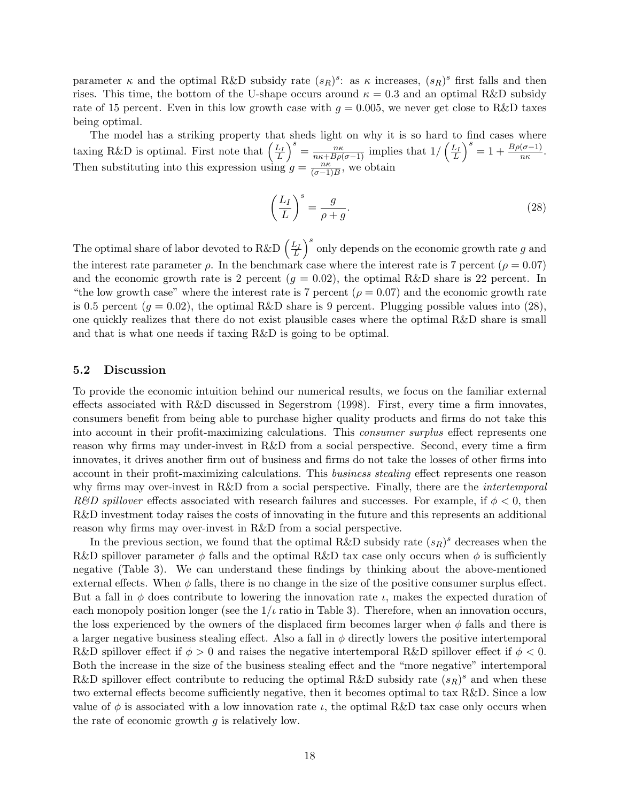parameter  $\kappa$  and the optimal R&D subsidy rate  $(s_R)^s$ : as  $\kappa$  increases,  $(s_R)^s$  first falls and then rises. This time, the bottom of the U-shape occurs around  $\kappa = 0.3$  and an optimal R&D subsidy rate of 15 percent. Even in this low growth case with  $g = 0.005$ , we never get close to R&D taxes being optimal.

The model has a striking property that sheds light on why it is so hard to find cases where taxing R&D is optimal. First note that  $\left(\frac{L_I}{L}\right)^s = \frac{n\kappa}{n\kappa + B\rho(\sigma-1)}$  implies that  $1/\left(\frac{L_I}{L}\right)^s = 1 + \frac{B\rho(\sigma-1)}{n\kappa}$ . Then substituting into this expression using  $g = \frac{n\kappa}{\sqrt{n-1}}$  $\frac{n\kappa}{(\sigma-1)B}$ , we obtain

$$
\left(\frac{L_I}{L}\right)^s = \frac{g}{\rho + g}.\tag{28}
$$

The optimal share of labor devoted to R&D  $\left(\frac{L_I}{L}\right)^s$  only depends on the economic growth rate g and the interest rate parameter  $\rho$ . In the benchmark case where the interest rate is 7 percent ( $\rho = 0.07$ ) and the economic growth rate is 2 percent  $(g = 0.02)$ , the optimal R&D share is 22 percent. In "the low growth case" where the interest rate is 7 percent ( $\rho = 0.07$ ) and the economic growth rate is 0.5 percent  $(g = 0.02)$ , the optimal R&D share is 9 percent. Plugging possible values into (28), one quickly realizes that there do not exist plausible cases where the optimal R&D share is small and that is what one needs if taxing R&D is going to be optimal.

### 5.2 Discussion

To provide the economic intuition behind our numerical results, we focus on the familiar external effects associated with R&D discussed in Segerstrom (1998). First, every time a firm innovates, consumers benefit from being able to purchase higher quality products and firms do not take this into account in their profit-maximizing calculations. This *consumer surplus* effect represents one reason why firms may under-invest in R&D from a social perspective. Second, every time a firm innovates, it drives another firm out of business and firms do not take the losses of other firms into account in their profit-maximizing calculations. This business stealing effect represents one reason why firms may over-invest in R&D from a social perspective. Finally, there are the *intertemporal* R&D spillover effects associated with research failures and successes. For example, if  $\phi < 0$ , then R&D investment today raises the costs of innovating in the future and this represents an additional reason why firms may over-invest in R&D from a social perspective.

In the previous section, we found that the optimal R&D subsidy rate  $(s_R)^s$  decreases when the R&D spillover parameter  $\phi$  falls and the optimal R&D tax case only occurs when  $\phi$  is sufficiently negative (Table 3). We can understand these findings by thinking about the above-mentioned external effects. When  $\phi$  falls, there is no change in the size of the positive consumer surplus effect. But a fall in  $\phi$  does contribute to lowering the innovation rate  $\iota$ , makes the expected duration of each monopoly position longer (see the  $1/\iota$  ratio in Table 3). Therefore, when an innovation occurs, the loss experienced by the owners of the displaced firm becomes larger when  $\phi$  falls and there is a larger negative business stealing effect. Also a fall in  $\phi$  directly lowers the positive intertemporal R&D spillover effect if  $\phi > 0$  and raises the negative intertemporal R&D spillover effect if  $\phi < 0$ . Both the increase in the size of the business stealing effect and the "more negative" intertemporal R&D spillover effect contribute to reducing the optimal R&D subsidy rate  $(s_R)^s$  and when these two external effects become sufficiently negative, then it becomes optimal to tax R&D. Since a low value of  $\phi$  is associated with a low innovation rate  $\iota$ , the optimal R&D tax case only occurs when the rate of economic growth  $q$  is relatively low.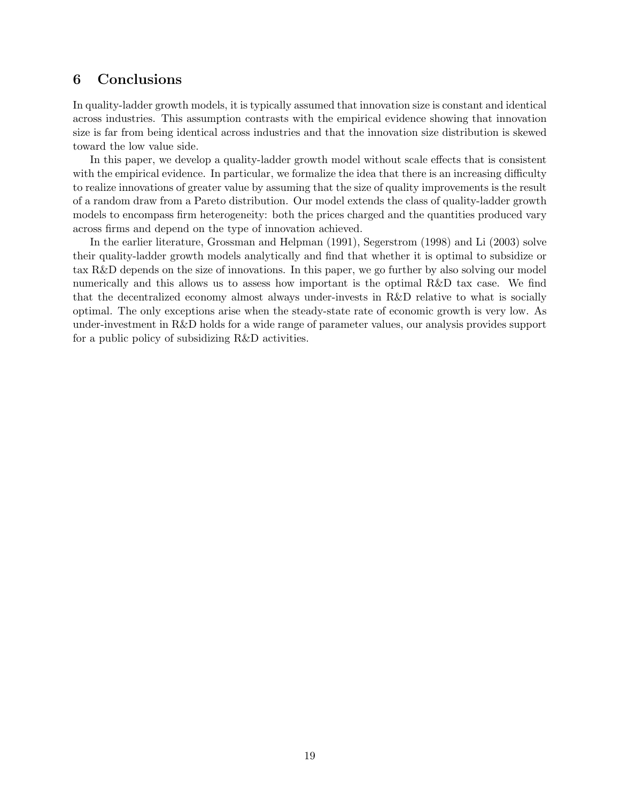# 6 Conclusions

In quality-ladder growth models, it is typically assumed that innovation size is constant and identical across industries. This assumption contrasts with the empirical evidence showing that innovation size is far from being identical across industries and that the innovation size distribution is skewed toward the low value side.

In this paper, we develop a quality-ladder growth model without scale effects that is consistent with the empirical evidence. In particular, we formalize the idea that there is an increasing difficulty to realize innovations of greater value by assuming that the size of quality improvements is the result of a random draw from a Pareto distribution. Our model extends the class of quality-ladder growth models to encompass firm heterogeneity: both the prices charged and the quantities produced vary across firms and depend on the type of innovation achieved.

In the earlier literature, Grossman and Helpman (1991), Segerstrom (1998) and Li (2003) solve their quality-ladder growth models analytically and find that whether it is optimal to subsidize or tax R&D depends on the size of innovations. In this paper, we go further by also solving our model numerically and this allows us to assess how important is the optimal R&D tax case. We find that the decentralized economy almost always under-invests in R&D relative to what is socially optimal. The only exceptions arise when the steady-state rate of economic growth is very low. As under-investment in R&D holds for a wide range of parameter values, our analysis provides support for a public policy of subsidizing R&D activities.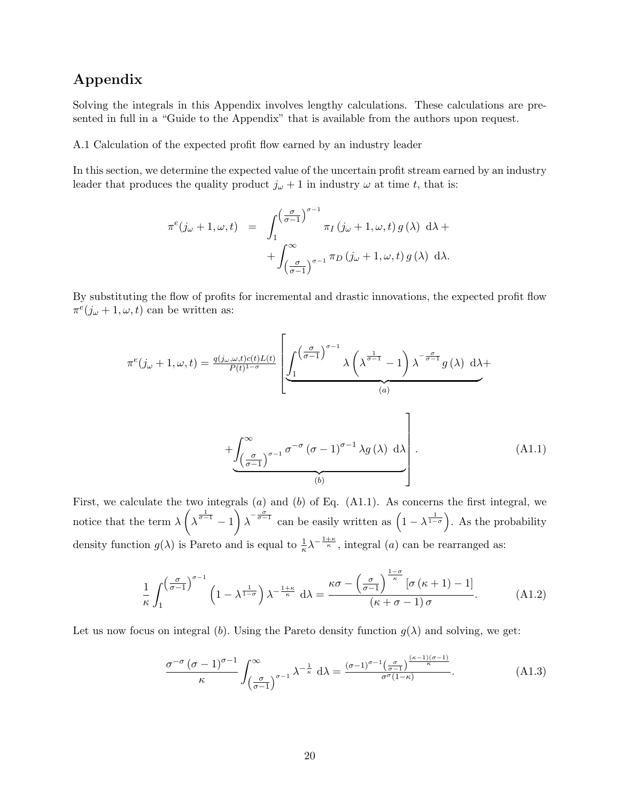# Appendix

Solving the integrals in this Appendix involves lengthy calculations. These calculations are presented in full in a "Guide to the Appendix" that is available from the authors upon request.

A.1 Calculation of the expected profit flow earned by an industry leader

In this section, we determine the expected value of the uncertain profit stream earned by an industry leader that produces the quality product  $j_{\omega} + 1$  in industry  $\omega$  at time t, that is:

$$
\pi^e(j_\omega + 1, \omega, t) = \int_1^{\left(\frac{\sigma}{\sigma - 1}\right)^{\sigma - 1}} \pi_I(j_\omega + 1, \omega, t) g(\lambda) d\lambda +
$$

$$
+ \int_{\left(\frac{\sigma}{\sigma - 1}\right)^{\sigma - 1}}^{\infty} \pi_D(j_\omega + 1, \omega, t) g(\lambda) d\lambda.
$$

By substituting the flow of profits for incremental and drastic innovations, the expected profit flow  $\pi^e(j_\omega+1,\omega,t)$  can be written as:

$$
\pi^{e}(j_{\omega}+1,\omega,t) = \frac{q(j_{\omega},\omega,t)c(t)L(t)}{P(t)^{1-\sigma}} \left[ \underbrace{\int_{1}^{(\frac{\sigma}{\sigma-1})^{\sigma-1}} \lambda \left(\lambda^{\frac{1}{\sigma-1}}-1\right) \lambda^{-\frac{\sigma}{\sigma-1}} g(\lambda) d\lambda}_{(a)} + \underbrace{\int_{(\frac{\sigma}{\sigma-1})^{\sigma-1}}^{\infty} \sigma^{-\sigma} (\sigma-1)^{\sigma-1} \lambda g(\lambda) d\lambda}_{(b)} \right].
$$
\n(A1.1)

First, we calculate the two integrals  $(a)$  and  $(b)$  of Eq.  $(A1.1)$ . As concerns the first integral, we notice that the term  $\lambda \left( \lambda^{\frac{1}{\sigma-1}} - 1 \right) \lambda^{-\frac{\sigma}{\sigma-1}}$  can be easily written as  $\left( 1 - \lambda^{\frac{1}{1-\sigma}} \right)$ . As the probability density function  $g(\lambda)$  is Pareto and is equal to  $\frac{1}{\kappa} \lambda^{-\frac{1+\kappa}{\kappa}}$ , integral  $(a)$  can be rearranged as:

$$
\frac{1}{\kappa} \int_{1}^{\left(\frac{\sigma}{\sigma-1}\right)^{\sigma-1}} \left(1 - \lambda^{\frac{1}{1-\sigma}}\right) \lambda^{-\frac{1+\kappa}{\kappa}} d\lambda = \frac{\kappa \sigma - \left(\frac{\sigma}{\sigma-1}\right)^{\frac{1-\sigma}{\kappa}} \left[\sigma\left(\kappa+1\right)-1\right]}{\left(\kappa+\sigma-1\right)\sigma}.
$$
\n(A1.2)

Let us now focus on integral (b). Using the Pareto density function  $q(\lambda)$  and solving, we get:

$$
\frac{\sigma^{-\sigma}(\sigma-1)^{\sigma-1}}{\kappa} \int_{\left(\frac{\sigma}{\sigma-1}\right)^{\sigma-1}}^{\infty} \lambda^{-\frac{1}{\kappa}} d\lambda = \frac{(\sigma-1)^{\sigma-1}(\frac{\sigma}{\sigma-1})^{\frac{(\kappa-1)(\sigma-1)}{\kappa}}}{\sigma^{\sigma}(1-\kappa)}.
$$
(A1.3)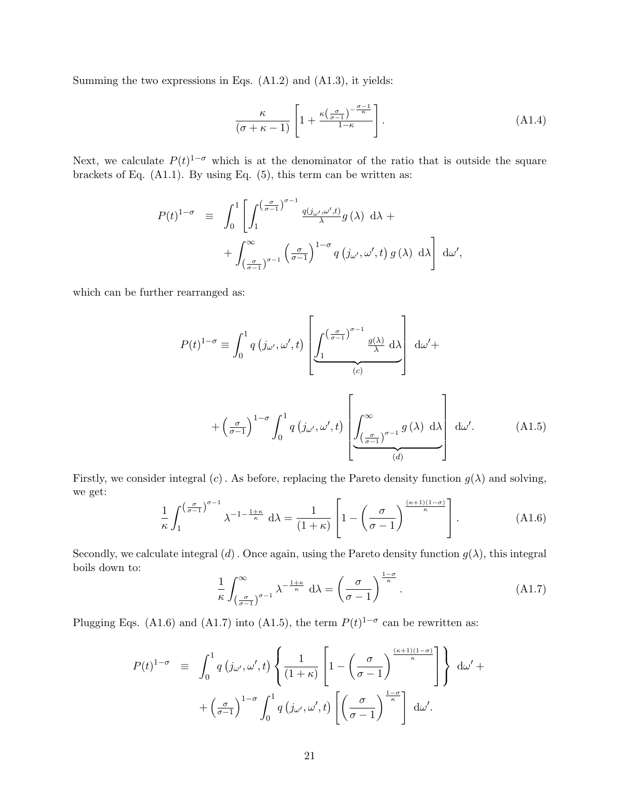Summing the two expressions in Eqs. (A1.2) and (A1.3), it yields:

$$
\frac{\kappa}{(\sigma + \kappa - 1)} \left[ 1 + \frac{\kappa \left( \frac{\sigma}{\sigma - 1} \right)^{-\frac{\sigma - 1}{\kappa}}}{1 - \kappa} \right].
$$
\n(A1.4)

Next, we calculate  $P(t)^{1-\sigma}$  which is at the denominator of the ratio that is outside the square brackets of Eq. (A1.1). By using Eq. (5), this term can be written as:

$$
P(t)^{1-\sigma} = \int_0^1 \left[ \int_1^{\left(\frac{\sigma}{\sigma-1}\right)^{\sigma-1}} \frac{q(j_{\omega'},\omega',t)}{\lambda} g(\lambda) d\lambda + \right. \\ \left. + \int_{\left(\frac{\sigma}{\sigma-1}\right)^{\sigma-1}}^{\infty} \left(\frac{\sigma}{\sigma-1}\right)^{1-\sigma} q(j_{\omega'},\omega',t) g(\lambda) d\lambda \right] d\omega',
$$

which can be further rearranged as:

$$
P(t)^{1-\sigma} \equiv \int_0^1 q(j\omega', \omega', t) \left[ \underbrace{\int_1^{\left(\frac{\sigma}{\sigma-1}\right)^{\sigma-1}} \frac{g(\lambda)}{\lambda} d\lambda}_{(c)} \right] d\omega' +
$$

$$
+ \left(\frac{\sigma}{\sigma-1}\right)^{1-\sigma} \int_0^1 q(j\omega', \omega', t) \left[ \underbrace{\int_1^\infty}_{(d-\sigma-1)\sigma} \frac{g(\lambda)}{\sigma} d\lambda \right] d\omega'.
$$
 (A1.5)

Firstly, we consider integral (c). As before, replacing the Pareto density function  $g(\lambda)$  and solving, we get:

$$
\frac{1}{\kappa} \int_{1}^{\left(\frac{\sigma}{\sigma-1}\right)^{\sigma-1}} \lambda^{-1-\frac{1+\kappa}{\kappa}} d\lambda = \frac{1}{(1+\kappa)} \left[ 1 - \left(\frac{\sigma}{\sigma-1}\right)^{\frac{(\kappa+1)(1-\sigma)}{\kappa}} \right].
$$
 (A1.6)

Secondly, we calculate integral (d). Once again, using the Pareto density function  $g(\lambda)$ , this integral boils down to:

$$
\frac{1}{\kappa} \int_{\left(\frac{\sigma}{\sigma-1}\right)^{\sigma-1}}^{\infty} \lambda^{-\frac{1+\kappa}{\kappa}} d\lambda = \left(\frac{\sigma}{\sigma-1}\right)^{\frac{1-\sigma}{\kappa}}.
$$
\n(A1.7)

Plugging Eqs. (A1.6) and (A1.7) into (A1.5), the term  $P(t)^{1-\sigma}$  can be rewritten as:

$$
P(t)^{1-\sigma} = \int_0^1 q(j\omega', \omega', t) \left\{ \frac{1}{(1+\kappa)} \left[ 1 - \left(\frac{\sigma}{\sigma-1}\right)^{\frac{(\kappa+1)(1-\sigma)}{\kappa}} \right] \right\} d\omega' +
$$

$$
+ \left(\frac{\sigma}{\sigma-1}\right)^{1-\sigma} \int_0^1 q(j\omega', \omega', t) \left[ \left(\frac{\sigma}{\sigma-1}\right)^{\frac{1-\sigma}{\kappa}} \right] d\omega'.
$$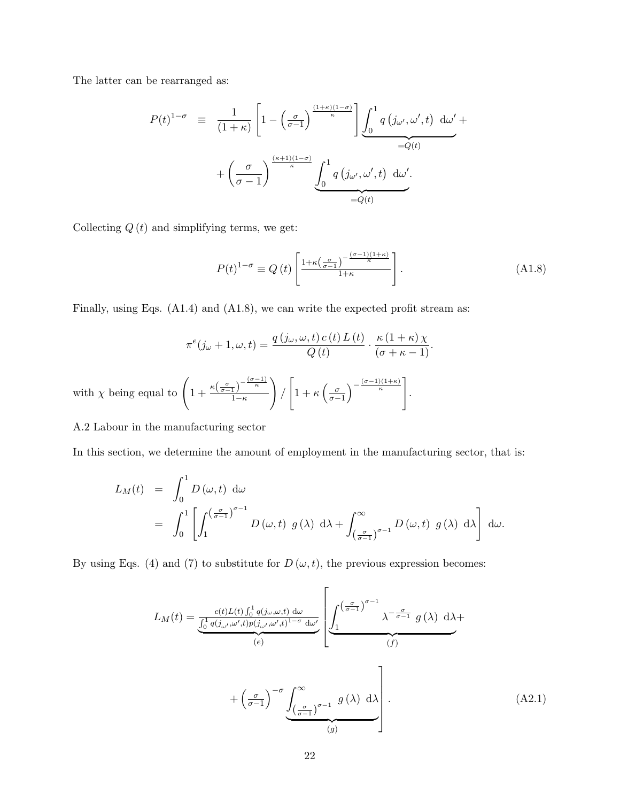The latter can be rearranged as:

$$
P(t)^{1-\sigma} = \frac{1}{(1+\kappa)} \left[ 1 - \left(\frac{\sigma}{\sigma-1}\right)^{\frac{(1+\kappa)(1-\sigma)}{\kappa}} \right] \underbrace{\int_0^1 q\left(j_{\omega'}, \omega', t\right) d\omega'}_{=Q(t)} + \left(\frac{\sigma}{\sigma-1}\right)^{\frac{(\kappa+1)(1-\sigma)}{\kappa}} \underbrace{\int_0^1 q\left(j_{\omega'}, \omega', t\right) d\omega'}_{=Q(t)} - \underbrace{\int_0^1 q\left(j_{\omega'}, \omega', t\right) d\omega'}_{=Q(t)}
$$

Collecting  $Q(t)$  and simplifying terms, we get:

$$
P(t)^{1-\sigma} \equiv Q(t) \left[ \frac{1+\kappa \left(\frac{\sigma}{\sigma-1}\right)^{-\frac{(\sigma-1)(1+\kappa)}{\kappa}}}{1+\kappa} \right].
$$
 (A1.8)

Finally, using Eqs. (A1.4) and (A1.8), we can write the expected profit stream as:

$$
\pi^{e}(j_{\omega}+1,\omega,t) = \frac{q(j_{\omega},\omega,t) c(t) L(t)}{Q(t)} \cdot \frac{\kappa(1+\kappa)\chi}{(\sigma+\kappa-1)}.
$$
  

$$
\chi \text{ being equal to } \left(1 + \frac{\kappa(\frac{\sigma}{\sigma-1})^{-\frac{(\sigma-1)}{\kappa}}}{1-\kappa}\right) / \left[1 + \kappa(\frac{\sigma}{\sigma-1})^{-\frac{(\sigma-1)(1+\kappa)}{\kappa}}\right].
$$

### A.2 Labour in the manufacturing sector

with

In this section, we determine the amount of employment in the manufacturing sector, that is:

$$
L_M(t) = \int_0^1 D(\omega, t) d\omega
$$
  
= 
$$
\int_0^1 \left[ \int_1^{\left(\frac{\sigma}{\sigma-1}\right)^{\sigma-1}} D(\omega, t) g(\lambda) d\lambda + \int_{\left(\frac{\sigma}{\sigma-1}\right)^{\sigma-1}}^{\infty} D(\omega, t) g(\lambda) d\lambda \right] d\omega.
$$

By using Eqs. (4) and (7) to substitute for  $D(\omega, t)$ , the previous expression becomes:

$$
L_M(t) = \underbrace{\frac{c(t)L(t)\int_0^1 q(j\omega,\omega,t) d\omega}{\int_0^1 q(j\omega',\omega',t)p(j\omega',\omega',t)^{1-\sigma} d\omega'}}_{(e)} \left[ \underbrace{\int_1^{\left(\frac{\sigma}{\sigma-1}\right)^{\sigma-1}} \lambda^{-\frac{\sigma}{\sigma-1}} g(\lambda) d\lambda}_{(f)} d\lambda + \underbrace{\int_0^{\frac{\sigma}{\sigma-1}} \int_0^{\infty} \int_0^{\infty} g(\lambda) d\lambda}_{(g)} d\lambda}_{(g)} \right].
$$
\n(A2.1)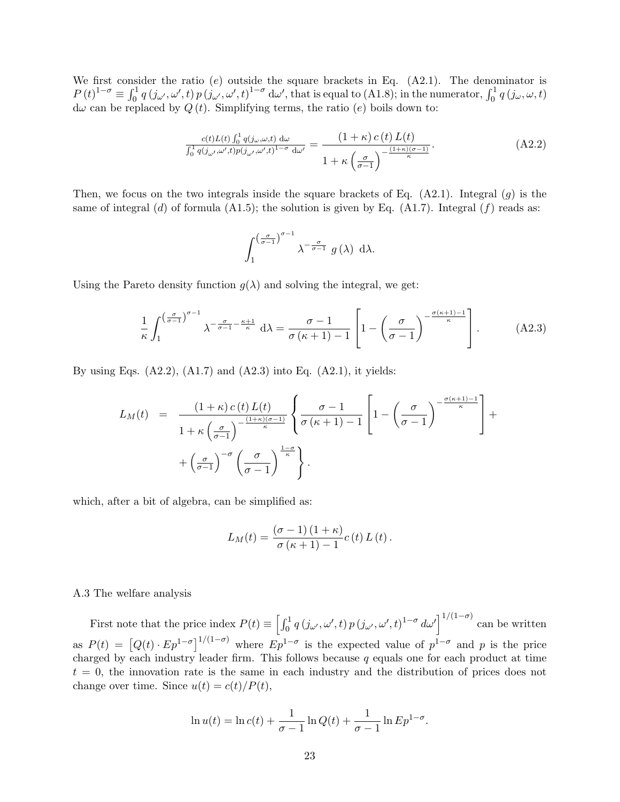We first consider the ratio  $(e)$  outside the square brackets in Eq.  $(A2.1)$ . The denominator is  $P(t)^{1-\sigma} \equiv \int_0^1 q(\mathbf{j}_{\omega'}, \omega', t) p(\mathbf{j}_{\omega'}, \omega', t)^{1-\sigma} d\omega',$  that is equal to (A1.8); in the numerator,  $\int_0^1 q(\mathbf{j}_{\omega}, \omega, t)$  $d\omega$  can be replaced by  $Q(t)$ . Simplifying terms, the ratio  $(e)$  boils down to:

$$
\frac{c(t)L(t)\int_0^1 q(j\omega,\omega,t)\,d\omega}{\int_0^1 q(j\omega,\omega',t)p(j\omega',\omega',t)^{1-\sigma}\,d\omega'} = \frac{(1+\kappa)\,c\,(t)\,L(t)}{1+\kappa\left(\frac{\sigma}{\sigma-1}\right)^{-\frac{(1+\kappa)(\sigma-1)}{\kappa}}}.
$$
\n(A2.2)

Then, we focus on the two integrals inside the square brackets of Eq.  $(A2.1)$ . Integral  $(g)$  is the same of integral (d) of formula (A1.5); the solution is given by Eq. (A1.7). Integral (f) reads as:

$$
\int_{1}^{\left(\frac{\sigma}{\sigma-1}\right)^{\sigma-1}} \lambda^{-\frac{\sigma}{\sigma-1}} g(\lambda) d\lambda.
$$

Using the Pareto density function  $q(\lambda)$  and solving the integral, we get:

$$
\frac{1}{\kappa} \int_{1}^{\left(\frac{\sigma}{\sigma-1}\right)^{\sigma-1}} \lambda^{-\frac{\sigma}{\sigma-1} - \frac{\kappa+1}{\kappa}} d\lambda = \frac{\sigma - 1}{\sigma(\kappa+1) - 1} \left[ 1 - \left(\frac{\sigma}{\sigma-1}\right)^{-\frac{\sigma(\kappa+1)-1}{\kappa}} \right].
$$
 (A2.3)

By using Eqs.  $(A2.2)$ ,  $(A1.7)$  and  $(A2.3)$  into Eq.  $(A2.1)$ , it yields:

$$
L_M(t) = \frac{(1+\kappa) c(t) L(t)}{1+\kappa \left(\frac{\sigma}{\sigma-1}\right)^{-\frac{(1+\kappa)(\sigma-1)}{\kappa}}} \left\{ \frac{\sigma-1}{\sigma(\kappa+1)-1} \left[ 1 - \left(\frac{\sigma}{\sigma-1}\right)^{-\frac{\sigma(\kappa+1)-1}{\kappa}} \right] + \left(\frac{\sigma}{\sigma-1}\right)^{-\sigma} \left(\frac{\sigma}{\sigma-1}\right)^{\frac{1-\sigma}{\kappa}} \right\}.
$$

which, after a bit of algebra, can be simplified as:

$$
L_M(t) = \frac{(\sigma - 1)(1 + \kappa)}{\sigma(\kappa + 1) - 1} c(t) L(t).
$$

#### A.3 The welfare analysis

First note that the price index  $P(t) \equiv \left[\int_0^1 q(\dot{j}_{\omega'}, \omega', t) p(\dot{j}_{\omega'}, \omega', t)^{1-\sigma} d\omega'\right]^{1/(1-\sigma)}$  can be written as  $P(t) = [Q(t) \cdot Ep^{1-\sigma}]^{1/(1-\sigma)}$  where  $Ep^{1-\sigma}$  is the expected value of  $p^{1-\sigma}$  and p is the price charged by each industry leader firm. This follows because  $q$  equals one for each product at time  $t = 0$ , the innovation rate is the same in each industry and the distribution of prices does not change over time. Since  $u(t) = c(t)/P(t)$ ,

$$
\ln u(t) = \ln c(t) + \frac{1}{\sigma - 1} \ln Q(t) + \frac{1}{\sigma - 1} \ln E p^{1 - \sigma}.
$$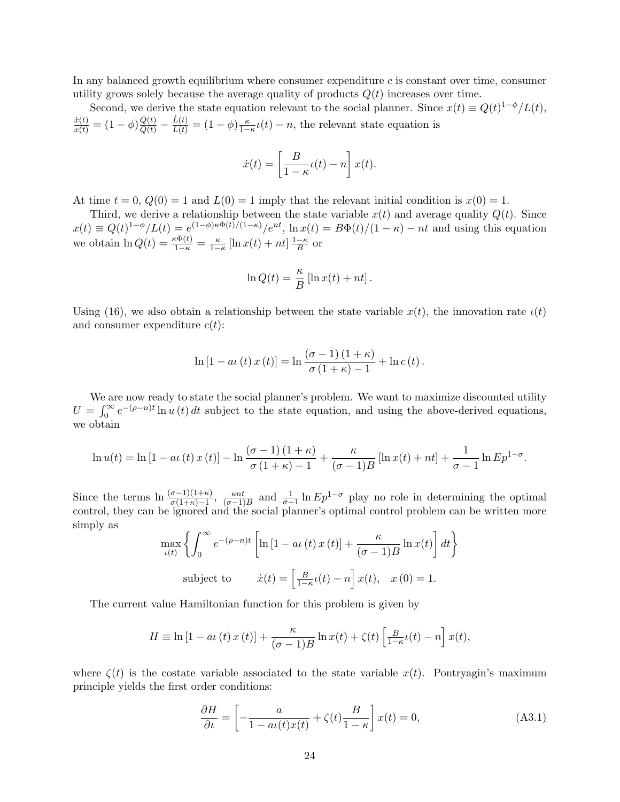In any balanced growth equilibrium where consumer expenditure  $c$  is constant over time, consumer utility grows solely because the average quality of products  $Q(t)$  increases over time.

Second, we derive the state equation relevant to the social planner. Since  $x(t) \equiv Q(t)^{1-\phi}/L(t)$ ,  $\frac{\dot{x}(t)}{x(t)} = (1 - \phi) \frac{\dot{Q}(t)}{Q(t)} - \frac{\dot{L}(t)}{L(t)} = (1 - \phi) \frac{\kappa}{1 - \kappa} t(t) - n$ , the relevant state equation is

$$
\dot{x}(t) = \left[\frac{B}{1-\kappa}t(t) - n\right]x(t).
$$

At time  $t = 0$ ,  $Q(0) = 1$  and  $L(0) = 1$  imply that the relevant initial condition is  $x(0) = 1$ .

Third, we derive a relationship between the state variable  $x(t)$  and average quality  $Q(t)$ . Since  $x(t) \equiv Q(t)^{1-\phi}/L(t) = e^{(1-\phi)\kappa \Phi(t)/(1-\kappa)}/e^{nt}$ ,  $\ln x(t) = B\Phi(t)/(1-\kappa) - nt$  and using this equation we obtain  $\ln Q(t) = \frac{\kappa \Phi(t)}{1-\kappa} = \frac{\kappa}{1-\kappa} \left[ \ln x(t) + nt \right] \frac{1-\kappa}{B}$  $\frac{-\kappa}{B}$  or

$$
\ln Q(t) = \frac{\kappa}{B} \left[ \ln x(t) + nt \right].
$$

Using (16), we also obtain a relationship between the state variable  $x(t)$ , the innovation rate  $\iota(t)$ and consumer expenditure  $c(t)$ :

$$
\ln [1 - a\iota(t)x(t)] = \ln \frac{(\sigma - 1)(1 + \kappa)}{\sigma(1 + \kappa) - 1} + \ln c(t).
$$

We are now ready to state the social planner's problem. We want to maximize discounted utility  $U = \int_0^\infty e^{-(\rho - n)t} \ln u(t) dt$  subject to the state equation, and using the above-derived equations, we obtain

$$
\ln u(t) = \ln\left[1 - a\iota\left(t\right)x\left(t\right)\right] - \ln\frac{\left(\sigma - 1\right)\left(1 + \kappa\right)}{\sigma\left(1 + \kappa\right) - 1} + \frac{\kappa}{\left(\sigma - 1\right)B}\left[\ln x(t) + nt\right] + \frac{1}{\sigma - 1}\ln Ep^{1-\sigma}.
$$

Since the terms  $\ln \frac{(\sigma-1)(1+\kappa)}{\sigma(1+\kappa)-1}$ ,  $\frac{\kappa nt}{(\sigma-1)}$  $\frac{\kappa nt}{(\sigma-1)B}$  and  $\frac{1}{\sigma-1}\ln Ep^{1-\sigma}$  play no role in determining the optimal control, they can be ignored and the social planner's optimal control problem can be written more simply as

$$
\max_{\iota(t)} \left\{ \int_0^\infty e^{-(\rho - n)t} \left[ \ln\left[1 - a\iota(t)x(t)\right] + \frac{\kappa}{(\sigma - 1)B} \ln x(t) \right] dt \right\}
$$
\nsubject to\n
$$
\dot{x}(t) = \left[ \frac{B}{1 - \kappa} \iota(t) - n \right] x(t), \quad x(0) = 1.
$$

The current value Hamiltonian function for this problem is given by

$$
H \equiv \ln\left[1 - a\iota\left(t\right)x\left(t\right)\right] + \frac{\kappa}{(\sigma - 1)B}\ln x(t) + \zeta(t)\left[\frac{B}{1 - \kappa}\iota(t) - n\right]x(t),
$$

where  $\zeta(t)$  is the costate variable associated to the state variable  $x(t)$ . Pontryagin's maximum principle yields the first order conditions:

$$
\frac{\partial H}{\partial t} = \left[ -\frac{a}{1 - a\iota(t)x(t)} + \zeta(t)\frac{B}{1 - \kappa} \right] x(t) = 0,
$$
\n(A3.1)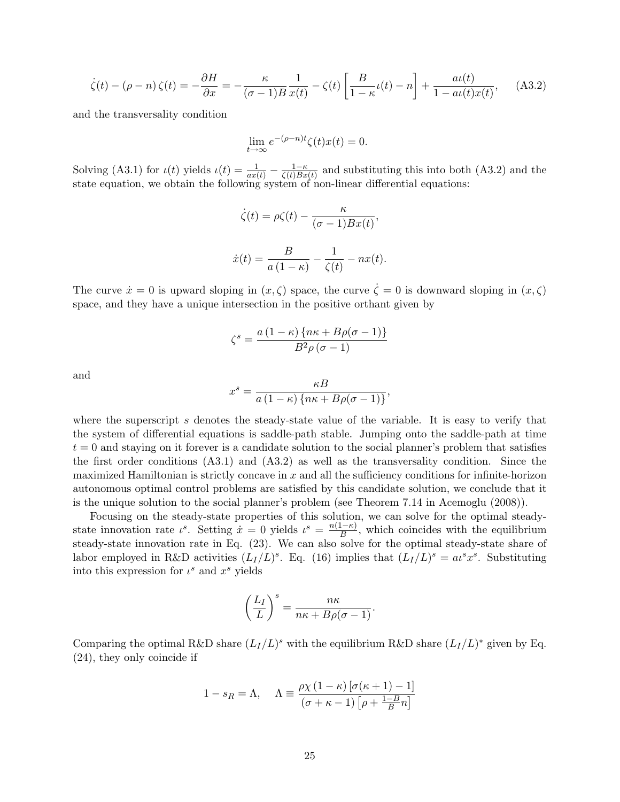$$
\dot{\zeta}(t) - (\rho - n)\zeta(t) = -\frac{\partial H}{\partial x} = -\frac{\kappa}{(\sigma - 1)B} \frac{1}{x(t)} - \zeta(t) \left[ \frac{B}{1 - \kappa} \iota(t) - n \right] + \frac{a\iota(t)}{1 - a\iota(t)x(t)}, \quad \text{(A3.2)}
$$

and the transversality condition

$$
\lim_{t \to \infty} e^{-(\rho - n)t} \zeta(t)x(t) = 0.
$$

Solving (A3.1) for  $\iota(t)$  yields  $\iota(t) = \frac{1}{ax(t)} - \frac{1-\kappa}{\zeta(t)Bx}$  $\frac{1-\kappa}{\zeta(t)Bx(t)}$  and substituting this into both (A3.2) and the state equation, we obtain the following system of non-linear differential equations:

$$
\dot{\zeta}(t) = \rho \zeta(t) - \frac{\kappa}{(\sigma - 1)Bx(t)},
$$

$$
\dot{x}(t) = \frac{B}{a(1 - \kappa)} - \frac{1}{\zeta(t)} - nx(t).
$$

The curve  $\dot{x} = 0$  is upward sloping in  $(x, \zeta)$  space, the curve  $\dot{\zeta} = 0$  is downward sloping in  $(x, \zeta)$ space, and they have a unique intersection in the positive orthant given by

$$
\zeta^{s} = \frac{a(1-\kappa)\left\{n\kappa + B\rho(\sigma - 1)\right\}}{B^{2}\rho(\sigma - 1)}
$$

and

$$
x^{s} = \frac{\kappa B}{a(1-\kappa)\left\{n\kappa + B\rho(\sigma-1)\right\}},
$$

where the superscript s denotes the steady-state value of the variable. It is easy to verify that the system of differential equations is saddle-path stable. Jumping onto the saddle-path at time  $t = 0$  and staying on it forever is a candidate solution to the social planner's problem that satisfies the first order conditions (A3.1) and (A3.2) as well as the transversality condition. Since the maximized Hamiltonian is strictly concave in  $x$  and all the sufficiency conditions for infinite-horizon autonomous optimal control problems are satisfied by this candidate solution, we conclude that it is the unique solution to the social planner's problem (see Theorem 7.14 in Acemoglu (2008)).

Focusing on the steady-state properties of this solution, we can solve for the optimal steadystate innovation rate  $\iota^s$ . Setting  $\overline{x} = 0$  yields  $\iota^s = \frac{n(1-\kappa)}{R}$  $\frac{1-\kappa}{B}$ , which coincides with the equilibrium steady-state innovation rate in Eq. (23). We can also solve for the optimal steady-state share of labor employed in R&D activities  $(L_I/L)^s$ . Eq. (16) implies that  $(L_I/L)^s = a\ell^s x^s$ . Substituting into this expression for  $\iota^s$  and  $x^s$  yields

$$
\left(\frac{L_I}{L}\right)^s = \frac{n\kappa}{n\kappa + B\rho(\sigma - 1)}.
$$

Comparing the optimal R&D share  $(L_I/L)^s$  with the equilibrium R&D share  $(L_I/L)^*$  given by Eq. (24), they only coincide if

$$
1 - s_R = \Lambda, \quad \Lambda \equiv \frac{\rho \chi \left( 1 - \kappa \right) \left[ \sigma (\kappa + 1) - 1 \right]}{\left( \sigma + \kappa - 1 \right) \left[ \rho + \frac{1 - B}{B} n \right]}
$$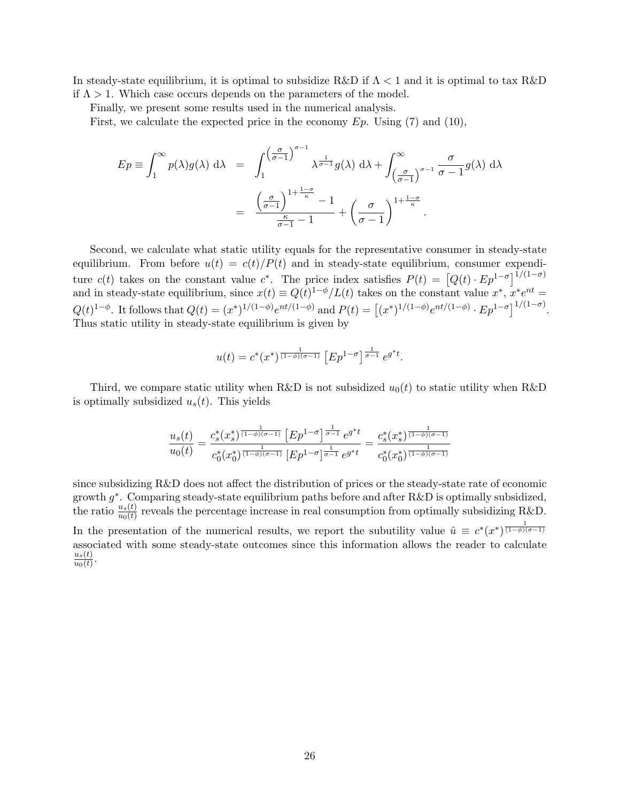In steady-state equilibrium, it is optimal to subsidize R&D if  $\Lambda < 1$  and it is optimal to tax R&D if  $\Lambda > 1$ . Which case occurs depends on the parameters of the model.

Finally, we present some results used in the numerical analysis.

First, we calculate the expected price in the economy  $Ep$ . Using (7) and (10),

$$
Ep \equiv \int_1^{\infty} p(\lambda)g(\lambda) d\lambda = \int_1^{\left(\frac{\sigma}{\sigma-1}\right)^{\sigma-1}} \lambda^{\frac{1}{\sigma-1}}g(\lambda) d\lambda + \int_{\left(\frac{\sigma}{\sigma-1}\right)^{\sigma-1}}^{\infty} \frac{\sigma}{\sigma-1}g(\lambda) d\lambda
$$

$$
= \frac{\left(\frac{\sigma}{\sigma-1}\right)^{1+\frac{1-\sigma}{\kappa}} - 1}{\frac{\kappa}{\sigma-1} - 1} + \left(\frac{\sigma}{\sigma-1}\right)^{1+\frac{1-\sigma}{\kappa}}.
$$

Second, we calculate what static utility equals for the representative consumer in steady-state equilibrium. From before  $u(t) = c(t)/P(t)$  and in steady-state equilibrium, consumer expenditure  $c(t)$  takes on the constant value  $c^*$ . The price index satisfies  $P(t) = [Q(t) \cdot Ep^{1-\sigma}]^{1/(1-\sigma)}$ and in steady-state equilibrium, since  $x(t) \equiv Q(t)^{1-\phi}/L(t)$  takes on the constant value  $x^*, x^*e^{nt} =$  $Q(t)^{1-\phi}$ . It follows that  $Q(t) = (x^*)^{1/(1-\phi)}e^{nt/(1-\phi)}$  and  $P(t) = [(x^*)^{1/(1-\phi)}e^{nt/(1-\phi)} \cdot Ep^{1-\sigma}]^{1/(1-\sigma)}$ . Thus static utility in steady-state equilibrium is given by

$$
u(t) = c^*(x^*)^{\frac{1}{(1-\phi)(\sigma-1)}} \left[ E p^{1-\sigma} \right]^{\frac{1}{\sigma-1}} e^{g^* t}.
$$

Third, we compare static utility when R&D is not subsidized  $u_0(t)$  to static utility when R&D is optimally subsidized  $u_s(t)$ . This yields

$$
\frac{u_s(t)}{u_0(t)} = \frac{c_s^*(x_s^*)^{\frac{1}{(1-\phi)(\sigma-1)}} \left[Ep^{1-\sigma}\right]^{\frac{1}{\sigma-1}} e^{g^*t}}{c_0^*(x_0^*)^{\frac{1}{(1-\phi)(\sigma-1)}} \left[Ep^{1-\sigma}\right]^{\frac{1}{\sigma-1}} e^{g^*t}} = \frac{c_s^*(x_s^*)^{\frac{1}{(1-\phi)(\sigma-1)}}}{c_0^*(x_0^*)^{\frac{1}{(1-\phi)(\sigma-1)}}}
$$

since subsidizing R&D does not affect the distribution of prices or the steady-state rate of economic growth  $g^*$ . Comparing steady-state equilibrium paths before and after R&D is optimally subsidized, the ratio  $\frac{u_s(t)}{u_0(t)}$  reveals the percentage increase in real consumption from optimally subsidizing R&D. In the presentation of the numerical results, we report the subutility value  $\hat{u} \equiv c^*(x^*)^{\frac{1}{(1-\phi)(\sigma-1)}}$ associated with some steady-state outcomes since this information allows the reader to calculate  $u_s(t)$  $\frac{u_s(t)}{u_0(t)}$ .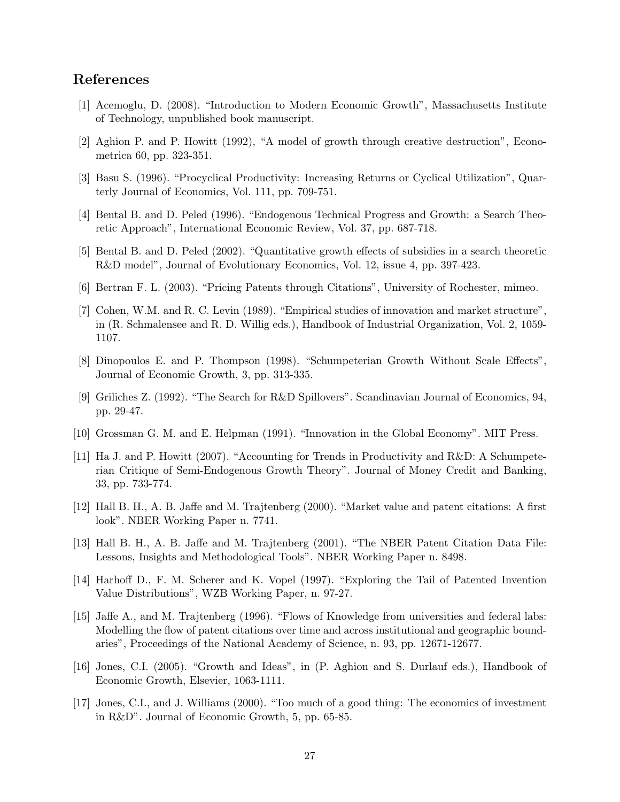# References

- [1] Acemoglu, D. (2008). "Introduction to Modern Economic Growth", Massachusetts Institute of Technology, unpublished book manuscript.
- [2] Aghion P. and P. Howitt (1992), "A model of growth through creative destruction", Econometrica 60, pp. 323-351.
- [3] Basu S. (1996). "Procyclical Productivity: Increasing Returns or Cyclical Utilization", Quarterly Journal of Economics, Vol. 111, pp. 709-751.
- [4] Bental B. and D. Peled (1996). "Endogenous Technical Progress and Growth: a Search Theoretic Approach", International Economic Review, Vol. 37, pp. 687-718.
- [5] Bental B. and D. Peled (2002). "Quantitative growth effects of subsidies in a search theoretic R&D model", Journal of Evolutionary Economics, Vol. 12, issue 4, pp. 397-423.
- [6] Bertran F. L. (2003). "Pricing Patents through Citations", University of Rochester, mimeo.
- [7] Cohen, W.M. and R. C. Levin (1989). "Empirical studies of innovation and market structure", in (R. Schmalensee and R. D. Willig eds.), Handbook of Industrial Organization, Vol. 2, 1059- 1107.
- [8] Dinopoulos E. and P. Thompson (1998). "Schumpeterian Growth Without Scale Effects", Journal of Economic Growth, 3, pp. 313-335.
- [9] Griliches Z. (1992). "The Search for R&D Spillovers". Scandinavian Journal of Economics, 94, pp. 29-47.
- [10] Grossman G. M. and E. Helpman (1991). "Innovation in the Global Economy". MIT Press.
- [11] Ha J. and P. Howitt (2007). "Accounting for Trends in Productivity and R&D: A Schumpeterian Critique of Semi-Endogenous Growth Theory". Journal of Money Credit and Banking, 33, pp. 733-774.
- [12] Hall B. H., A. B. Jaffe and M. Trajtenberg (2000). "Market value and patent citations: A first look". NBER Working Paper n. 7741.
- [13] Hall B. H., A. B. Jaffe and M. Trajtenberg (2001). "The NBER Patent Citation Data File: Lessons, Insights and Methodological Tools". NBER Working Paper n. 8498.
- [14] Harhoff D., F. M. Scherer and K. Vopel (1997). "Exploring the Tail of Patented Invention Value Distributions", WZB Working Paper, n. 97-27.
- [15] Jaffe A., and M. Trajtenberg (1996). "Flows of Knowledge from universities and federal labs: Modelling the flow of patent citations over time and across institutional and geographic boundaries", Proceedings of the National Academy of Science, n. 93, pp. 12671-12677.
- [16] Jones, C.I. (2005). "Growth and Ideas", in (P. Aghion and S. Durlauf eds.), Handbook of Economic Growth, Elsevier, 1063-1111.
- [17] Jones, C.I., and J. Williams (2000). "Too much of a good thing: The economics of investment in R&D". Journal of Economic Growth, 5, pp. 65-85.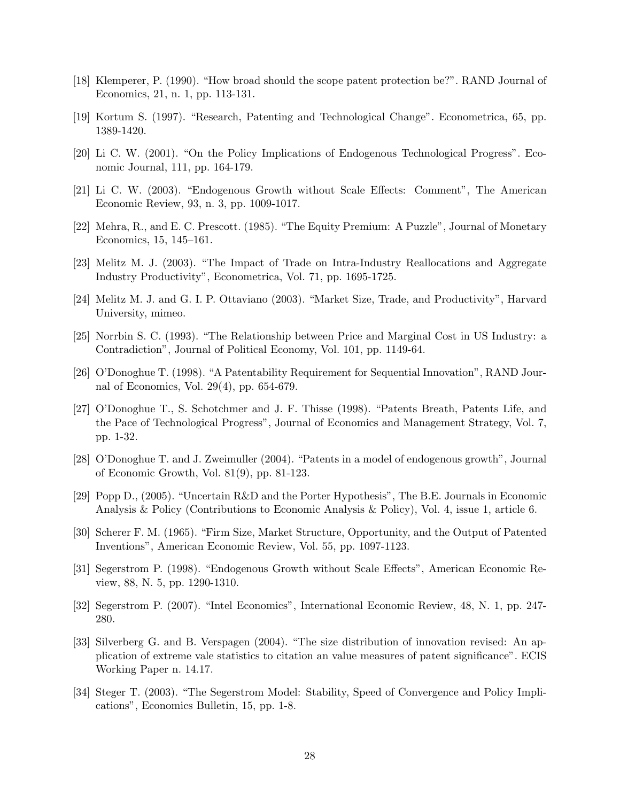- [18] Klemperer, P. (1990). "How broad should the scope patent protection be?". RAND Journal of Economics, 21, n. 1, pp. 113-131.
- [19] Kortum S. (1997). "Research, Patenting and Technological Change". Econometrica, 65, pp. 1389-1420.
- [20] Li C. W. (2001). "On the Policy Implications of Endogenous Technological Progress". Economic Journal, 111, pp. 164-179.
- [21] Li C. W. (2003). "Endogenous Growth without Scale Effects: Comment", The American Economic Review, 93, n. 3, pp. 1009-1017.
- [22] Mehra, R., and E. C. Prescott. (1985). "The Equity Premium: A Puzzle", Journal of Monetary Economics, 15, 145–161.
- [23] Melitz M. J. (2003). "The Impact of Trade on Intra-Industry Reallocations and Aggregate Industry Productivity", Econometrica, Vol. 71, pp. 1695-1725.
- [24] Melitz M. J. and G. I. P. Ottaviano (2003). "Market Size, Trade, and Productivity", Harvard University, mimeo.
- [25] Norrbin S. C. (1993). "The Relationship between Price and Marginal Cost in US Industry: a Contradiction", Journal of Political Economy, Vol. 101, pp. 1149-64.
- [26] O'Donoghue T. (1998). "A Patentability Requirement for Sequential Innovation", RAND Journal of Economics, Vol. 29(4), pp. 654-679.
- [27] O'Donoghue T., S. Schotchmer and J. F. Thisse (1998). "Patents Breath, Patents Life, and the Pace of Technological Progress", Journal of Economics and Management Strategy, Vol. 7, pp. 1-32.
- [28] O'Donoghue T. and J. Zweimuller (2004). "Patents in a model of endogenous growth", Journal of Economic Growth, Vol. 81(9), pp. 81-123.
- [29] Popp D., (2005). "Uncertain R&D and the Porter Hypothesis", The B.E. Journals in Economic Analysis & Policy (Contributions to Economic Analysis & Policy), Vol. 4, issue 1, article 6.
- [30] Scherer F. M. (1965). "Firm Size, Market Structure, Opportunity, and the Output of Patented Inventions", American Economic Review, Vol. 55, pp. 1097-1123.
- [31] Segerstrom P. (1998). "Endogenous Growth without Scale Effects", American Economic Review, 88, N. 5, pp. 1290-1310.
- [32] Segerstrom P. (2007). "Intel Economics", International Economic Review, 48, N. 1, pp. 247- 280.
- [33] Silverberg G. and B. Verspagen (2004). "The size distribution of innovation revised: An application of extreme vale statistics to citation an value measures of patent significance". ECIS Working Paper n. 14.17.
- [34] Steger T. (2003). "The Segerstrom Model: Stability, Speed of Convergence and Policy Implications", Economics Bulletin, 15, pp. 1-8.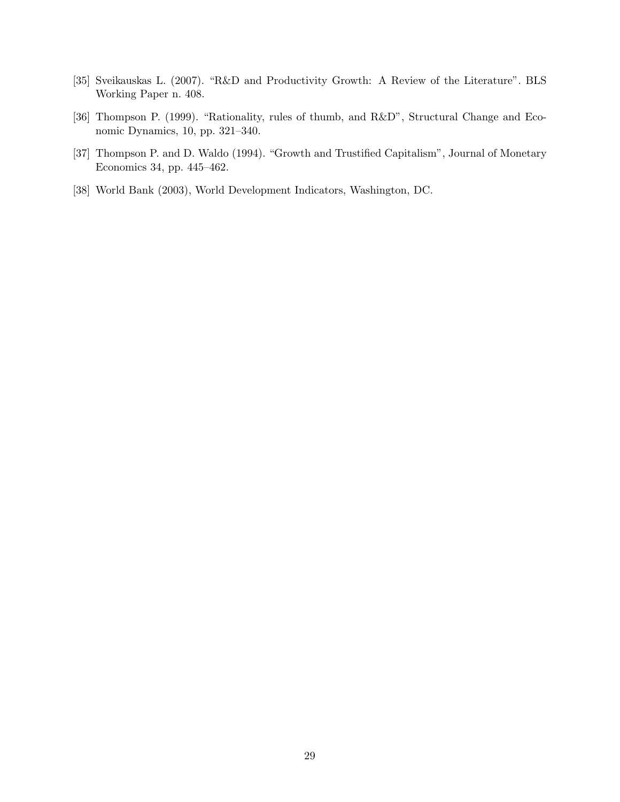- [35] Sveikauskas L. (2007). "R&D and Productivity Growth: A Review of the Literature". BLS Working Paper n. 408.
- [36] Thompson P. (1999). "Rationality, rules of thumb, and R&D", Structural Change and Economic Dynamics, 10, pp. 321–340.
- [37] Thompson P. and D. Waldo (1994). "Growth and Trustified Capitalism", Journal of Monetary Economics 34, pp. 445–462.
- [38] World Bank (2003), World Development Indicators, Washington, DC.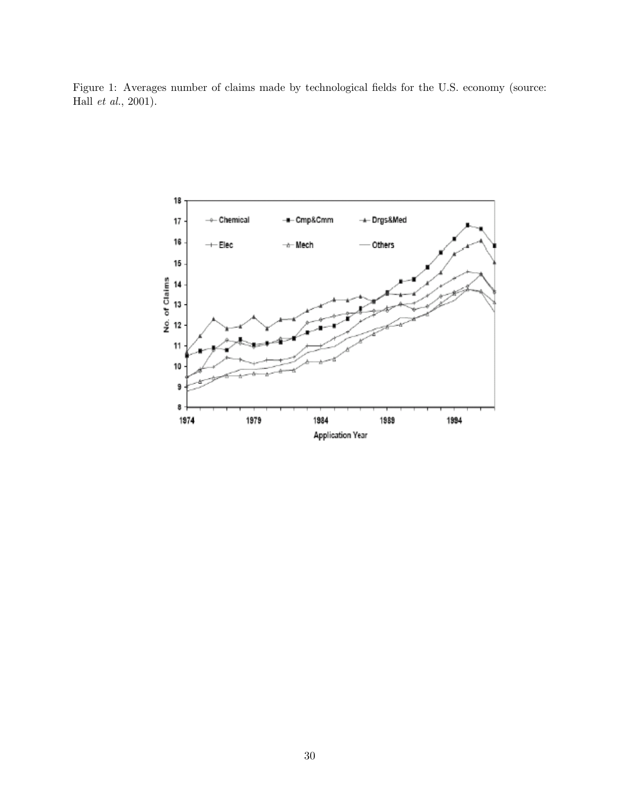Figure 1: Averages number of claims made by technological fields for the U.S. economy (source: Hall et al., 2001).